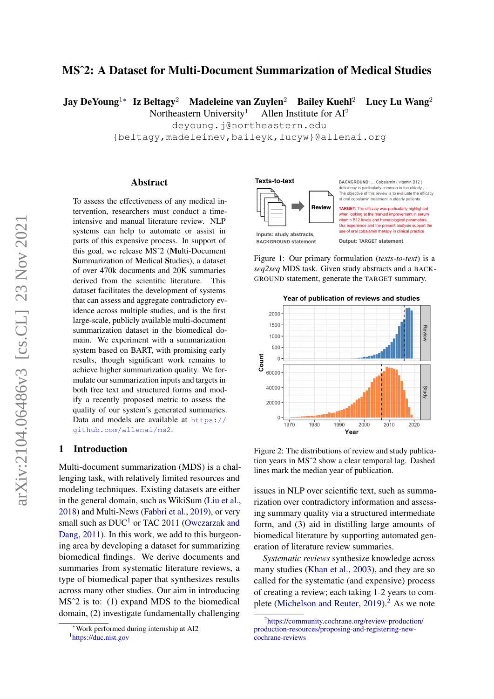# MSˆ2: A Dataset for Multi-Document Summarization of Medical Studies

Jay DeYoung<sup>1</sup>\* Iz Beltagy<sup>2</sup> Madeleine van Zuylen<sup>2</sup> Bailey Kuehl<sup>2</sup> Lucy Lu Wang<sup>2</sup>

Northeastern University<sup>1</sup> Allen Institute for  $AI^2$ 

deyoung.j@northeastern.edu

{beltagy,madeleinev,baileyk,lucyw}@allenai.org

#### Abstract

To assess the effectiveness of any medical intervention, researchers must conduct a timeintensive and manual literature review. NLP systems can help to automate or assist in parts of this expensive process. In support of this goal, we release MSˆ2 (Multi-Document Summarization of Medical Studies), a dataset of over 470k documents and 20K summaries derived from the scientific literature. This dataset facilitates the development of systems that can assess and aggregate contradictory evidence across multiple studies, and is the first large-scale, publicly available multi-document summarization dataset in the biomedical domain. We experiment with a summarization system based on BART, with promising early results, though significant work remains to achieve higher summarization quality. We formulate our summarization inputs and targets in both free text and structured forms and modify a recently proposed metric to assess the quality of our system's generated summaries. Data and models are available at [https://](https://github.com/allenai/ms2) [github.com/allenai/ms2](https://github.com/allenai/ms2).

#### 1 Introduction

Multi-document summarization (MDS) is a challenging task, with relatively limited resources and modeling techniques. Existing datasets are either in the general domain, such as WikiSum [\(Liu et al.,](#page-10-0) [2018\)](#page-10-0) and Multi-News [\(Fabbri et al.,](#page-9-0) [2019\)](#page-9-0), or very small such as  $DUC<sup>1</sup>$  $DUC<sup>1</sup>$  $DUC<sup>1</sup>$  or TAC 2011 [\(Owczarzak and](#page-11-0) [Dang,](#page-11-0) [2011\)](#page-11-0). In this work, we add to this burgeoning area by developing a dataset for summarizing biomedical findings. We derive documents and summaries from systematic literature reviews, a type of biomedical paper that synthesizes results across many other studies. Our aim in introducing MS<sup> $\sim$ 2</sup> is to: (1) expand MDS to the biomedical domain, (2) investigate fundamentally challenging

<span id="page-0-3"></span>

BACKGROUND: ... Cobalamin (vitamin B12) deficiency is particularly common in the elderly The objective of this review is to evaluate the efficacy of oral cobalamin treatment in elderly patients

**TARGET:** The efficacy was particularly highlighted hen looking at the marked improvement in vitamin B12 levels and hematological parameters Our experience and the present analysis support the use of oral cobalamin therapy in clinical practice

**BACKGROUND statement** 

**Output: TARGET statement** 

Figure 1: Our primary formulation (*texts-to-text*) is a *seq2seq* MDS task. Given study abstracts and a BACK-GROUND statement, generate the TARGET summary.

<span id="page-0-2"></span>

Figure 2: The distributions of review and study publication years in MSˆ2 show a clear temporal lag. Dashed lines mark the median year of publication.

issues in NLP over scientific text, such as summarization over contradictory information and assessing summary quality via a structured intermediate form, and (3) aid in distilling large amounts of biomedical literature by supporting automated generation of literature review summaries.

*Systematic reviews* synthesize knowledge across many studies [\(Khan et al.,](#page-10-1) [2003\)](#page-10-1), and they are so called for the systematic (and expensive) process of creating a review; each taking 1-2 years to com-plete [\(Michelson and Reuter,](#page-11-1) [2019\)](#page-11-1).<sup>[2](#page-0-1)</sup> As we note

<sup>∗</sup>Work performed during internship at AI2

<span id="page-0-0"></span><sup>1</sup> <https://duc.nist.gov>

<span id="page-0-1"></span><sup>2</sup> [https://community.cochrane.org/review-production/](https://community.cochrane.org/review-production/production-resources/proposing-and-registering-new-cochrane-reviews) [production-resources/proposing-and-registering-new](https://community.cochrane.org/review-production/production-resources/proposing-and-registering-new-cochrane-reviews)[cochrane-reviews](https://community.cochrane.org/review-production/production-resources/proposing-and-registering-new-cochrane-reviews)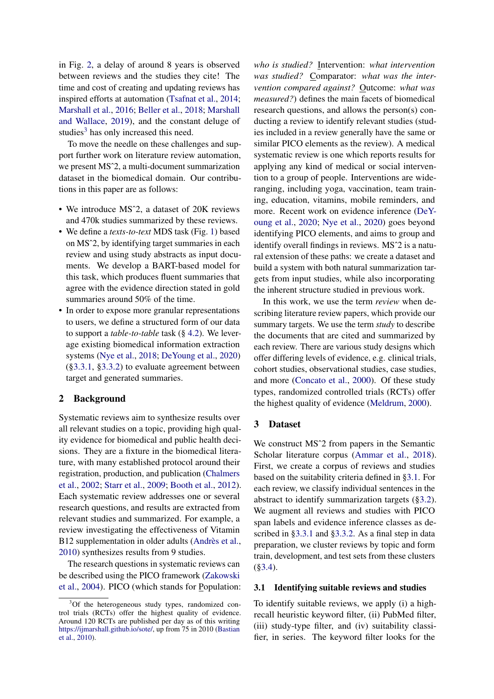in Fig. [2,](#page-0-2) a delay of around 8 years is observed between reviews and the studies they cite! The time and cost of creating and updating reviews has inspired efforts at automation [\(Tsafnat et al.,](#page-11-2) [2014;](#page-11-2) [Marshall et al.,](#page-10-2) [2016;](#page-10-2) [Beller et al.,](#page-8-0) [2018;](#page-8-0) [Marshall](#page-10-3) [and Wallace,](#page-10-3) [2019\)](#page-10-3), and the constant deluge of studies<sup>[3](#page-1-0)</sup> has only increased this need.

To move the needle on these challenges and support further work on literature review automation, we present MSˆ2, a multi-document summarization dataset in the biomedical domain. Our contributions in this paper are as follows:

- We introduce MS<sup>2</sup>, a dataset of 20K reviews and 470k studies summarized by these reviews.
- We define a *texts-to-text* MDS task (Fig. [1\)](#page-0-3) based on MSˆ2, by identifying target summaries in each review and using study abstracts as input documents. We develop a BART-based model for this task, which produces fluent summaries that agree with the evidence direction stated in gold summaries around 50% of the time.
- In order to expose more granular representations to users, we define a structured form of our data to support a *table-to-table* task (§ [4.2\)](#page-5-0). We leverage existing biomedical information extraction systems [\(Nye et al.,](#page-11-3) [2018;](#page-11-3) [DeYoung et al.,](#page-9-1) [2020\)](#page-9-1) ([§3.3.1,](#page-3-0) [§3.3.2\)](#page-3-1) to evaluate agreement between target and generated summaries.

## <span id="page-1-2"></span>2 Background

Systematic reviews aim to synthesize results over all relevant studies on a topic, providing high quality evidence for biomedical and public health decisions. They are a fixture in the biomedical literature, with many established protocol around their registration, production, and publication [\(Chalmers](#page-9-2) [et al.,](#page-9-2) [2002;](#page-9-2) [Starr et al.,](#page-11-4) [2009;](#page-11-4) [Booth et al.,](#page-8-1) [2012\)](#page-8-1). Each systematic review addresses one or several research questions, and results are extracted from relevant studies and summarized. For example, a review investigating the effectiveness of Vitamin B12 supplementation in older adults [\(Andrès et al.,](#page-8-2) [2010\)](#page-8-2) synthesizes results from 9 studies.

The research questions in systematic reviews can be described using the PICO framework [\(Zakowski](#page-12-0) [et al.,](#page-12-0) [2004\)](#page-12-0). PICO (which stands for Population:

*who is studied?* Intervention: *what intervention was studied?* Comparator: *what was the intervention compared against?* Outcome: *what was measured?*) defines the main facets of biomedical research questions, and allows the person(s) conducting a review to identify relevant studies (studies included in a review generally have the same or similar PICO elements as the review). A medical systematic review is one which reports results for applying any kind of medical or social intervention to a group of people. Interventions are wideranging, including yoga, vaccination, team training, education, vitamins, mobile reminders, and more. Recent work on evidence inference [\(DeY](#page-9-1)[oung et al.,](#page-9-1) [2020;](#page-9-1) [Nye et al.,](#page-11-5) [2020\)](#page-11-5) goes beyond identifying PICO elements, and aims to group and identify overall findings in reviews. MSˆ2 is a natural extension of these paths: we create a dataset and build a system with both natural summarization targets from input studies, while also incorporating the inherent structure studied in previous work.

In this work, we use the term *review* when describing literature review papers, which provide our summary targets. We use the term *study* to describe the documents that are cited and summarized by each review. There are various study designs which offer differing levels of evidence, e.g. clinical trials, cohort studies, observational studies, case studies, and more [\(Concato et al.,](#page-9-3) [2000\)](#page-9-3). Of these study types, randomized controlled trials (RCTs) offer the highest quality of evidence [\(Meldrum,](#page-11-6) [2000\)](#page-11-6).

## 3 Dataset

We construct MSˆ2 from papers in the Semantic Scholar literature corpus [\(Ammar et al.,](#page-8-4) [2018\)](#page-8-4). First, we create a corpus of reviews and studies based on the suitability criteria defined in [§3.1.](#page-1-1) For each review, we classify individual sentences in the abstract to identify summarization targets ([§3.2\)](#page-2-0). We augment all reviews and studies with PICO span labels and evidence inference classes as de-scribed in [§3.3.1](#page-3-0) and [§3.3.2.](#page-3-1) As a final step in data preparation, we cluster reviews by topic and form train, development, and test sets from these clusters ([§3.4\)](#page-3-2).

#### <span id="page-1-1"></span>3.1 Identifying suitable reviews and studies

To identify suitable reviews, we apply (i) a highrecall heuristic keyword filter, (ii) PubMed filter, (iii) study-type filter, and (iv) suitability classifier, in series. The keyword filter looks for the

<span id="page-1-0"></span><sup>&</sup>lt;sup>3</sup>Of the heterogeneous study types, randomized control trials (RCTs) offer the highest quality of evidence. Around 120 RCTs are published per day as of this writing [https://ijmarshall.github.io/sote/,](https://ijmarshall.github.io/sote/) up from 75 in 2010 [\(Bastian](#page-8-3) [et al.,](#page-8-3) [2010\)](#page-8-3).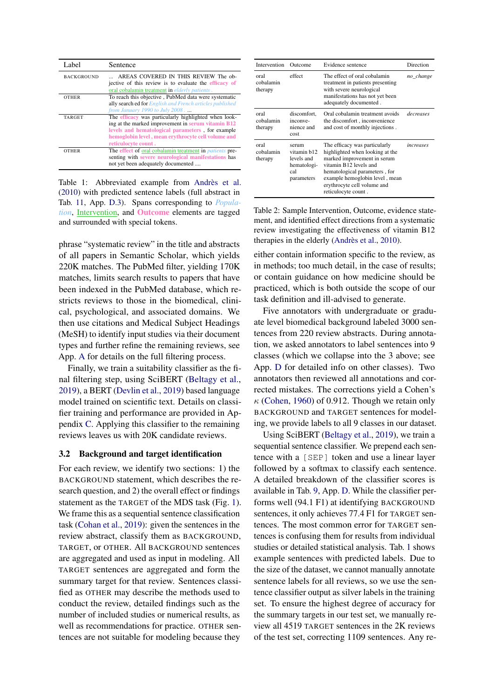<span id="page-2-1"></span>

| Label             | Sentence                                                                                                                                                                                                                                          |
|-------------------|---------------------------------------------------------------------------------------------------------------------------------------------------------------------------------------------------------------------------------------------------|
| <b>BACKGROUND</b> | AREAS COVERED IN THIS REVIEW The ob-<br>jective of this review is to evaluate the efficacy of<br>oral cobalamin treatment in elderly patients.                                                                                                    |
| <b>OTHER</b>      | To reach this objective, PubMed data were systematic<br>ally search ed for <i>English and French articles published</i><br>from January 1990 to July 2008                                                                                         |
| <b>TARGET</b>     | The <b>efficacy</b> was particularly highlighted when look-<br>ing at the marked improvement in serum vitamin B12<br>levels and hematological parameters for example<br>hemoglobin level, mean erythrocyte cell volume and<br>reticulocyte count. |
| <b>OTHER</b>      | The effect of oral cobalamin treatment in <i>patients</i> pre-<br>senting with severe neurological manifestations has<br>not yet been adequately documented                                                                                       |

Table 1: Abbreviated example from [Andrès et al.](#page-8-2) [\(2010\)](#page-8-2) with predicted sentence labels (full abstract in Tab. [11,](#page-14-0) App. [D.3\)](#page-16-0). Spans corresponding to *Population*, Intervention, and Outcome elements are tagged and surrounded with special tokens.

phrase "systematic review" in the title and abstracts of all papers in Semantic Scholar, which yields 220K matches. The PubMed filter, yielding 170K matches, limits search results to papers that have been indexed in the PubMed database, which restricts reviews to those in the biomedical, clinical, psychological, and associated domains. We then use citations and Medical Subject Headings (MeSH) to identify input studies via their document types and further refine the remaining reviews, see App. [A](#page-13-0) for details on the full filtering process.

Finally, we train a suitability classifier as the final filtering step, using SciBERT [\(Beltagy et al.,](#page-8-5) [2019\)](#page-8-5), a BERT [\(Devlin et al.,](#page-9-4) [2019\)](#page-9-4) based language model trained on scientific text. Details on classifier training and performance are provided in Appendix [C.](#page-14-1) Applying this classifier to the remaining reviews leaves us with 20K candidate reviews.

#### <span id="page-2-0"></span>3.2 Background and target identification

For each review, we identify two sections: 1) the BACKGROUND statement, which describes the research question, and 2) the overall effect or findings statement as the TARGET of the MDS task (Fig. [1\)](#page-0-3). We frame this as a sequential sentence classification task [\(Cohan et al.,](#page-9-5) [2019\)](#page-9-5): given the sentences in the review abstract, classify them as BACKGROUND, TARGET, or OTHER. All BACKGROUND sentences are aggregated and used as input in modeling. All TARGET sentences are aggregated and form the summary target for that review. Sentences classified as OTHER may describe the methods used to conduct the review, detailed findings such as the number of included studies or numerical results, as well as recommendations for practice. OTHER sentences are not suitable for modeling because they

<span id="page-2-2"></span>

| Intervention                 | Outcome                                                                | Evidence sentence                                                                                                                                                                                                                                  | Direction |
|------------------------------|------------------------------------------------------------------------|----------------------------------------------------------------------------------------------------------------------------------------------------------------------------------------------------------------------------------------------------|-----------|
| oral<br>cobalamin<br>therapy | effect                                                                 | The effect of oral cobalamin<br>treatment in patients presenting<br>with severe neurological<br>manifestations has not yet been<br>adequately documented.                                                                                          | no change |
| oral<br>cobalamin<br>therapy | discomfort,<br>inconve-<br>nience and<br>cost                          | Oral cobalamin treatment avoids<br>the discomfort, inconvenience<br>and cost of monthly injections.                                                                                                                                                | decreases |
| oral<br>cobalamin<br>therapy | serum<br>vitamin b12<br>levels and<br>hematologi-<br>cal<br>parameters | The efficacy was particularly<br>highlighted when looking at the<br>marked improvement in serum<br>vitamin B12 levels and<br>hematological parameters, for<br>example hemoglobin level, mean<br>erythrocyte cell volume and<br>reticulocyte count. | increases |

Table 2: Sample Intervention, Outcome, evidence statement, and identified effect directions from a systematic review investigating the effectiveness of vitamin B12 therapies in the elderly [\(Andrès et al.,](#page-8-2) [2010\)](#page-8-2).

either contain information specific to the review, as in methods; too much detail, in the case of results; or contain guidance on how medicine should be practiced, which is both outside the scope of our task definition and ill-advised to generate.

Five annotators with undergraduate or graduate level biomedical background labeled 3000 sentences from 220 review abstracts. During annotation, we asked annotators to label sentences into 9 classes (which we collapse into the 3 above; see App. [D](#page-15-0) for detailed info on other classes). Two annotators then reviewed all annotations and corrected mistakes. The corrections yield a Cohen's  $\kappa$  [\(Cohen,](#page-9-6) [1960\)](#page-9-6) of 0.912. Though we retain only BACKGROUND and TARGET sentences for modeling, we provide labels to all 9 classes in our dataset.

Using SciBERT [\(Beltagy et al.,](#page-8-5) [2019\)](#page-8-5), we train a sequential sentence classifier. We prepend each sentence with a [SEP] token and use a linear layer followed by a softmax to classify each sentence. A detailed breakdown of the classifier scores is available in Tab. [9,](#page-13-1) App. [D.](#page-15-0) While the classifier performs well (94.1 F1) at identifying BACKGROUND sentences, it only achieves 77.4 F1 for TARGET sentences. The most common error for TARGET sentences is confusing them for results from individual studies or detailed statistical analysis. Tab. [1](#page-2-1) shows example sentences with predicted labels. Due to the size of the dataset, we cannot manually annotate sentence labels for all reviews, so we use the sentence classifier output as silver labels in the training set. To ensure the highest degree of accuracy for the summary targets in our test set, we manually review all 4519 TARGET sentences in the 2K reviews of the test set, correcting 1109 sentences. Any re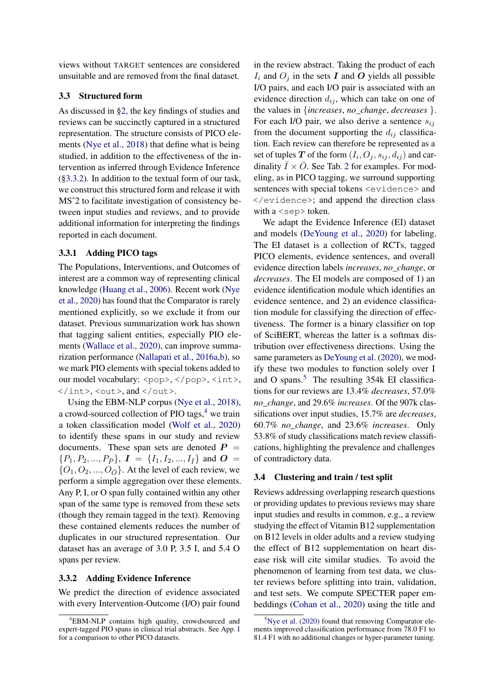views without TARGET sentences are considered unsuitable and are removed from the final dataset.

## 3.3 Structured form

As discussed in [§2,](#page-1-2) the key findings of studies and reviews can be succinctly captured in a structured representation. The structure consists of PICO elements [\(Nye et al.,](#page-11-3) [2018\)](#page-11-3) that define what is being studied, in addition to the effectiveness of the intervention as inferred through Evidence Inference ([§3.3.2\)](#page-3-1). In addition to the textual form of our task, we construct this structured form and release it with MS<sup> $\gamma$ 2</sup> to facilitate investigation of consistency between input studies and reviews, and to provide additional information for interpreting the findings reported in each document.

# <span id="page-3-0"></span>3.3.1 Adding PICO tags

The Populations, Interventions, and Outcomes of interest are a common way of representing clinical knowledge [\(Huang et al.,](#page-9-7) [2006\)](#page-9-7). Recent work [\(Nye](#page-11-5) [et al.,](#page-11-5) [2020\)](#page-11-5) has found that the Comparator is rarely mentioned explicitly, so we exclude it from our dataset. Previous summarization work has shown that tagging salient entities, especially PIO elements [\(Wallace et al.,](#page-12-1) [2020\)](#page-12-1), can improve summarization performance [\(Nallapati et al.,](#page-11-7) [2016a](#page-11-7)[,b\)](#page-11-8), so we mark PIO elements with special tokens added to our model vocabulary: <pop>, </pop>, <int>,  $\langle$ int>,  $\langle$ out>, and  $\langle$ /out>.

Using the EBM-NLP corpus [\(Nye et al.,](#page-11-3) [2018\)](#page-11-3), a crowd-sourced collection of PIO tags, $4$  we train a token classification model [\(Wolf et al.,](#page-12-2) [2020\)](#page-12-2) to identify these spans in our study and review documents. These span sets are denoted  $P =$  $\{P_1, P_2, ..., P_{\bar{P}}\}, I = \{I_1, I_2, ..., I_{\bar{I}}\}$  and  $O =$  $\{O_1, O_2, ..., O_{\bar{O}}\}$ . At the level of each review, we perform a simple aggregation over these elements. Any P, I, or O span fully contained within any other span of the same type is removed from these sets (though they remain tagged in the text). Removing these contained elements reduces the number of duplicates in our structured representation. Our dataset has an average of 3.0 P, 3.5 I, and 5.4 O spans per review.

## <span id="page-3-1"></span>3.3.2 Adding Evidence Inference

We predict the direction of evidence associated with every Intervention-Outcome (I/O) pair found in the review abstract. Taking the product of each  $I_i$  and  $O_j$  in the sets **I** and **O** yields all possible I/O pairs, and each I/O pair is associated with an evidence direction  $d_{ij}$ , which can take on one of the values in {*increases*, *no\_change*, *decreases* }. For each I/O pair, we also derive a sentence  $s_{ij}$ from the document supporting the  $d_{ij}$  classification. Each review can therefore be represented as a set of tuples  $T$  of the form  $(I_i, O_j, s_{ij}, d_{ij})$  and cardinality  $I \times O$ . See Tab. [2](#page-2-2) for examples. For modeling, as in PICO tagging, we surround supporting sentences with special tokens <evidence> and </evidence>; and append the direction class with a <sep> token.

We adapt the Evidence Inference (EI) dataset and models [\(DeYoung et al.,](#page-9-1) [2020\)](#page-9-1) for labeling. The EI dataset is a collection of RCTs, tagged PICO elements, evidence sentences, and overall evidence direction labels *increases*, *no\_change*, or *decreases*. The EI models are composed of 1) an evidence identification module which identifies an evidence sentence, and 2) an evidence classification module for classifying the direction of effectiveness. The former is a binary classifier on top of SciBERT, whereas the latter is a softmax distribution over effectiveness directions. Using the same parameters as [DeYoung et al.](#page-9-1) [\(2020\)](#page-9-1), we modify these two modules to function solely over I and O spans.<sup>[5](#page-3-4)</sup> The resulting  $354k$  EI classifications for our reviews are 13.4% *decreases*, 57.0% *no\_change*, and 29.6% *increases*. Of the 907k classifications over input studies, 15.7% are *decreases*, 60.7% *no\_change*, and 23.6% *increases*. Only 53.8% of study classifications match review classifications, highlighting the prevalence and challenges of contradictory data.

## <span id="page-3-2"></span>3.4 Clustering and train / test split

Reviews addressing overlapping research questions or providing updates to previous reviews may share input studies and results in common, e.g., a review studying the effect of Vitamin B12 supplementation on B12 levels in older adults and a review studying the effect of B12 supplementation on heart disease risk will cite similar studies. To avoid the phenomenon of learning from test data, we cluster reviews before splitting into train, validation, and test sets. We compute SPECTER paper embeddings [\(Cohan et al.,](#page-9-8) [2020\)](#page-9-8) using the title and

<span id="page-3-3"></span><sup>4</sup>EBM-NLP contains high quality, crowdsourced and expert-tagged PIO spans in clinical trial abstracts. See App. [I](#page-17-0) for a comparison to other PICO datasets.

<span id="page-3-4"></span> $5$ [Nye et al.](#page-11-5) [\(2020\)](#page-11-5) found that removing Comparator elements improved classification performance from 78.0 F1 to 81.4 F1 with no additional changes or hyper-parameter tuning.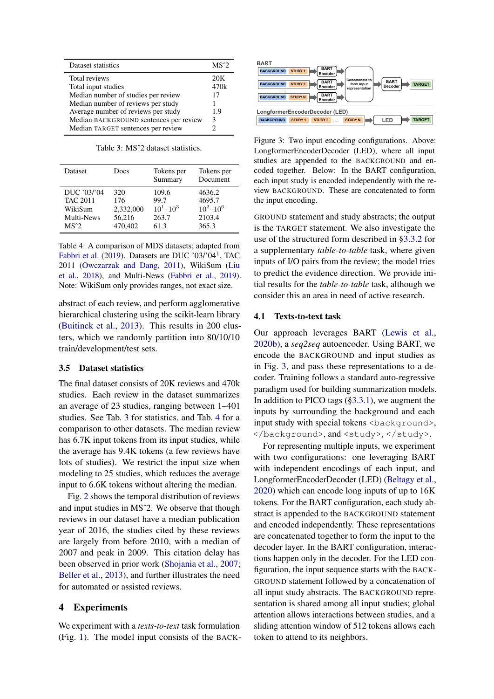<span id="page-4-0"></span>

| Dataset statistics                     | $MS^2$           |
|----------------------------------------|------------------|
| Total reviews                          | 20 <sub>K</sub>  |
| Total input studies                    | 470 <sub>k</sub> |
| Median number of studies per review    | 17               |
| Median number of reviews per study     |                  |
| Average number of reviews per study    | 1.9              |
| Median BACKGROUND sentences per review | 3                |
| Median TARGET sentences per review     |                  |
|                                        |                  |

Table 3: MSˆ2 dataset statistics.

<span id="page-4-1"></span>

| <b>Dataset</b>  | Docs      | Tokens per<br>Summary | Tokens per<br>Document |
|-----------------|-----------|-----------------------|------------------------|
| DUC '03/'04     | 320       | 109.6                 | 4636.2                 |
| <b>TAC 2011</b> | 176       | 99.7                  | 4695.7                 |
| WikiSum         | 2,332,000 | $10^1 - 10^3$         | $10^2 - 10^6$          |
| Multi-News      | 56.216    | 263.7                 | 2103.4                 |
| $MS^2$          | 470,402   | 61.3                  | 365.3                  |

Table 4: A comparison of MDS datasets; adapted from [Fabbri et al.](#page-9-0) [\(2019\)](#page-9-0). Datasets are DUC '03/'04<sup>[1](#page-0-0)</sup>, TAC 2011 [\(Owczarzak and Dang,](#page-11-0) [2011\)](#page-11-0), WikiSum [\(Liu](#page-10-0) [et al.,](#page-10-0) [2018\)](#page-10-0), and Multi-News [\(Fabbri et al.,](#page-9-0) [2019\)](#page-9-0). Note: WikiSum only provides ranges, not exact size.

abstract of each review, and perform agglomerative hierarchical clustering using the scikit-learn library [\(Buitinck et al.,](#page-8-6) [2013\)](#page-8-6). This results in 200 clusters, which we randomly partition into 80/10/10 train/development/test sets.

## 3.5 Dataset statistics

The final dataset consists of 20K reviews and 470k studies. Each review in the dataset summarizes an average of 23 studies, ranging between 1–401 studies. See Tab. [3](#page-4-0) for statistics, and Tab. [4](#page-4-1) for a comparison to other datasets. The median review has 6.7K input tokens from its input studies, while the average has 9.4K tokens (a few reviews have lots of studies). We restrict the input size when modeling to 25 studies, which reduces the average input to 6.6K tokens without altering the median.

Fig. [2](#page-0-2) shows the temporal distribution of reviews and input studies in MSˆ2. We observe that though reviews in our dataset have a median publication year of 2016, the studies cited by these reviews are largely from before 2010, with a median of 2007 and peak in 2009. This citation delay has been observed in prior work [\(Shojania et al.,](#page-11-9) [2007;](#page-11-9) [Beller et al.,](#page-8-7) [2013\)](#page-8-7), and further illustrates the need for automated or assisted reviews.

## 4 Experiments

We experiment with a *texts-to-text* task formulation (Fig. [1\)](#page-0-3). The model input consists of the BACK-

<span id="page-4-2"></span>

Figure 3: Two input encoding configurations. Above: LongformerEncoderDecoder (LED), where all input studies are appended to the BACKGROUND and encoded together. Below: In the BART configuration, each input study is encoded independently with the review BACKGROUND. These are concatenated to form the input encoding.

GROUND statement and study abstracts; the output is the TARGET statement. We also investigate the use of the structured form described in [§3.3.2](#page-3-1) for a supplementary *table-to-table* task, where given inputs of I/O pairs from the review; the model tries to predict the evidence direction. We provide initial results for the *table-to-table* task, although we consider this an area in need of active research.

#### <span id="page-4-3"></span>4.1 Texts-to-text task

Our approach leverages BART [\(Lewis et al.,](#page-10-4) [2020b\)](#page-10-4), a *seq2seq* autoencoder. Using BART, we encode the BACKGROUND and input studies as in Fig. [3,](#page-4-2) and pass these representations to a decoder. Training follows a standard auto-regressive paradigm used for building summarization models. In addition to PICO tags ([§3.3.1\)](#page-3-0), we augment the inputs by surrounding the background and each input study with special tokens <br/>background>, </background>, and <study>, </study>.

For representing multiple inputs, we experiment with two configurations: one leveraging BART with independent encodings of each input, and LongformerEncoderDecoder (LED) [\(Beltagy et al.,](#page-8-8) [2020\)](#page-8-8) which can encode long inputs of up to 16K tokens. For the BART configuration, each study abstract is appended to the BACKGROUND statement and encoded independently. These representations are concatenated together to form the input to the decoder layer. In the BART configuration, interactions happen only in the decoder. For the LED configuration, the input sequence starts with the BACK-GROUND statement followed by a concatenation of all input study abstracts. The BACKGROUND representation is shared among all input studies; global attention allows interactions between studies, and a sliding attention window of 512 tokens allows each token to attend to its neighbors.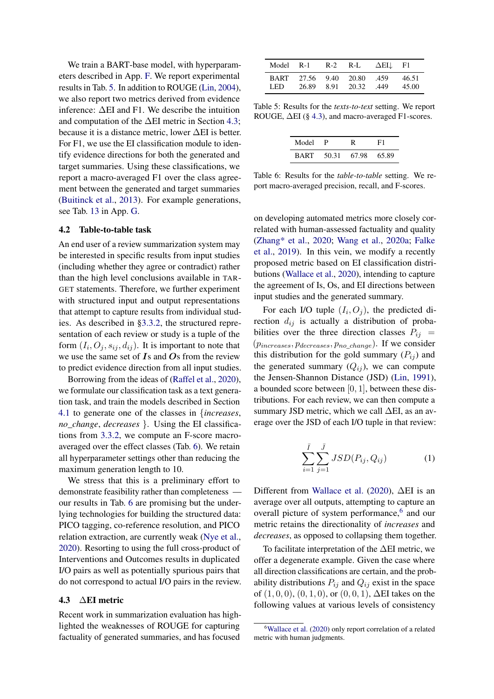We train a BART-base model, with hyperparameters described in App. [F.](#page-16-1) We report experimental results in Tab. [5.](#page-5-1) In addition to ROUGE [\(Lin,](#page-10-5) [2004\)](#page-10-5), we also report two metrics derived from evidence inference: ∆EI and F1. We describe the intuition and computation of the ∆EI metric in Section [4.3;](#page-5-2) because it is a distance metric, lower ∆EI is better. For F1, we use the EI classification module to identify evidence directions for both the generated and target summaries. Using these classifications, we report a macro-averaged F1 over the class agreement between the generated and target summaries [\(Buitinck et al.,](#page-8-6) [2013\)](#page-8-6). For example generations, see Tab. [13](#page-17-1) in App. [G.](#page-17-2)

#### <span id="page-5-0"></span>4.2 Table-to-table task

An end user of a review summarization system may be interested in specific results from input studies (including whether they agree or contradict) rather than the high level conclusions available in TAR-GET statements. Therefore, we further experiment with structured input and output representations that attempt to capture results from individual studies. As described in [§3.3.2,](#page-3-1) the structured representation of each review or study is a tuple of the form  $(I_i, O_j, s_{ij}, d_{ij})$ . It is important to note that we use the same set of  $\boldsymbol{I}$ s and  $\boldsymbol{O}$ s from the review to predict evidence direction from all input studies.

Borrowing from the ideas of [\(Raffel et al.,](#page-11-10) [2020\)](#page-11-10), we formulate our classification task as a text generation task, and train the models described in Section [4.1](#page-4-3) to generate one of the classes in {*increases*, *no\_change*, *decreases* }. Using the EI classifications from [3.3.2,](#page-3-1) we compute an F-score macroaveraged over the effect classes (Tab. [6\)](#page-5-3). We retain all hyperparameter settings other than reducing the maximum generation length to 10.

We stress that this is a preliminary effort to demonstrate feasibility rather than completeness our results in Tab. [6](#page-5-3) are promising but the underlying technologies for building the structured data: PICO tagging, co-reference resolution, and PICO relation extraction, are currently weak [\(Nye et al.,](#page-11-5) [2020\)](#page-11-5). Resorting to using the full cross-product of Interventions and Outcomes results in duplicated I/O pairs as well as potentially spurious pairs that do not correspond to actual I/O pairs in the review.

#### <span id="page-5-2"></span>4.3 ∆EI metric

Recent work in summarization evaluation has highlighted the weaknesses of ROUGE for capturing factuality of generated summaries, and has focused

<span id="page-5-1"></span>

| Model R-1 R-2 R-L $\Delta E I \downarrow$ F1 |  |                       |                |
|----------------------------------------------|--|-----------------------|----------------|
| BART 27.56 9.40 20.80 .459<br>LED            |  | 26.89 8.91 20.32 .449 | 46.51<br>45.00 |

<span id="page-5-3"></span>Table 5: Results for the *texts-to-text* setting. We report ROUGE,  $\Delta$ EI (§ [4.3\)](#page-5-2), and macro-averaged F1-scores.

| Model       | - P   | R     | F1    |
|-------------|-------|-------|-------|
| <b>BART</b> | 50.31 | 67.98 | 65.89 |

Table 6: Results for the *table-to-table* setting. We report macro-averaged precision, recall, and F-scores.

on developing automated metrics more closely correlated with human-assessed factuality and quality [\(Zhang\\* et al.,](#page-12-3) [2020;](#page-12-3) [Wang et al.,](#page-12-4) [2020a;](#page-12-4) [Falke](#page-9-9) [et al.,](#page-9-9) [2019\)](#page-9-9). In this vein, we modify a recently proposed metric based on EI classification distributions [\(Wallace et al.,](#page-12-1) [2020\)](#page-12-1), intending to capture the agreement of Is, Os, and EI directions between input studies and the generated summary.

For each I/O tuple  $(I_i, O_j)$ , the predicted direction  $d_{ij}$  is actually a distribution of probabilities over the three direction classes  $P_{ij}$  = (pincreases, pdecreases, pno\_change). If we consider this distribution for the gold summary  $(P_{ij})$  and the generated summary  $(Q_{ij})$ , we can compute the Jensen-Shannon Distance (JSD) [\(Lin,](#page-10-6) [1991\)](#page-10-6), a bounded score between  $[0, 1]$ , between these distributions. For each review, we can then compute a summary JSD metric, which we call  $\Delta$ EI, as an average over the JSD of each I/O tuple in that review:

$$
\sum_{i=1}^{\bar{I}} \sum_{j=1}^{\bar{J}} JSD(P_{ij}, Q_{ij})
$$
 (1)

Different from [Wallace et al.](#page-12-1) [\(2020\)](#page-12-1), ∆EI is an average over all outputs, attempting to capture an overall picture of system performance,<sup>[6](#page-5-4)</sup> and our metric retains the directionality of *increases* and *decreases*, as opposed to collapsing them together.

To facilitate interpretation of the ∆EI metric, we offer a degenerate example. Given the case where all direction classifications are certain, and the probability distributions  $P_{ij}$  and  $Q_{ij}$  exist in the space of  $(1, 0, 0)$ ,  $(0, 1, 0)$ , or  $(0, 0, 1)$ ,  $\Delta$ EI takes on the following values at various levels of consistency

<span id="page-5-4"></span><sup>&</sup>lt;sup>6</sup>[Wallace et al.](#page-12-1) [\(2020\)](#page-12-1) only report correlation of a related metric with human judgments.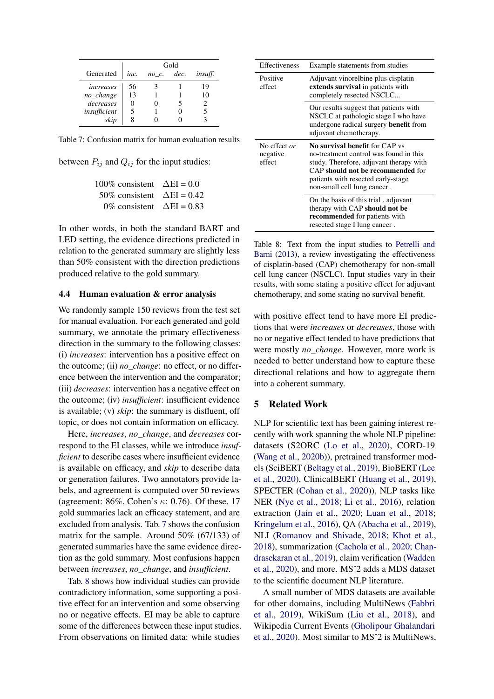<span id="page-6-0"></span>

|              | Gold |          |      |         |
|--------------|------|----------|------|---------|
| Generated    | inc. | $no_c$ . | dec. | insuff. |
| increases    | 56   |          |      | 19      |
| no_change    | 13   |          |      | 10      |
| decreases    |      |          |      |         |
| insufficient | 5    |          |      |         |
| skip         |      |          |      |         |

Table 7: Confusion matrix for human evaluation results

between  $P_{ij}$  and  $Q_{ij}$  for the input studies:

| 100\% consistent $\Delta EI = 0.0$ |  |
|------------------------------------|--|
| 50\% consistent $\Delta EI = 0.42$ |  |
| 0% consistent $\Delta EI = 0.83$   |  |

In other words, in both the standard BART and LED setting, the evidence directions predicted in relation to the generated summary are slightly less than 50% consistent with the direction predictions produced relative to the gold summary.

#### 4.4 Human evaluation & error analysis

We randomly sample 150 reviews from the test set for manual evaluation. For each generated and gold summary, we annotate the primary effectiveness direction in the summary to the following classes: (i) *increases*: intervention has a positive effect on the outcome; (ii) *no\_change*: no effect, or no difference between the intervention and the comparator; (iii) *decreases*: intervention has a negative effect on the outcome; (iv) *insufficient*: insufficient evidence is available; (v) *skip*: the summary is disfluent, off topic, or does not contain information on efficacy.

Here, *increases*, *no\_change*, and *decreases* correspond to the EI classes, while we introduce *insufficient* to describe cases where insufficient evidence is available on efficacy, and *skip* to describe data or generation failures. Two annotators provide labels, and agreement is computed over 50 reviews (agreement:  $86\%$ , Cohen's  $\kappa$ : 0.76). Of these, 17 gold summaries lack an efficacy statement, and are excluded from analysis. Tab. [7](#page-6-0) shows the confusion matrix for the sample. Around 50% (67/133) of generated summaries have the same evidence direction as the gold summary. Most confusions happen between *increases*, *no\_change*, and *insufficient*.

Tab. [8](#page-6-1) shows how individual studies can provide contradictory information, some supporting a positive effect for an intervention and some observing no or negative effects. EI may be able to capture some of the differences between these input studies. From observations on limited data: while studies

<span id="page-6-1"></span>

| <b>Effectiveness</b>               | Example statements from studies                                                                                                                                                                                                      |
|------------------------------------|--------------------------------------------------------------------------------------------------------------------------------------------------------------------------------------------------------------------------------------|
| Positive<br>effect                 | Adjuvant vinorelbine plus cisplatin<br>extends survival in patients with<br>completely resected NSCLC                                                                                                                                |
|                                    | Our results suggest that patients with<br>NSCLC at pathologic stage I who have<br>undergone radical surgery <b>benefit</b> from<br>adjuvant chemotherapy.                                                                            |
| No effect or<br>negative<br>effect | <b>No survival benefit for CAP vs</b><br>no-treatment control was found in this<br>study. Therefore, adjuvant therapy with<br>CAP should not be recommended for<br>patients with resected early-stage<br>non-small cell lung cancer. |
|                                    | On the basis of this trial, adjuvant<br>therapy with CAP should not be<br>recommended for patients with<br>resected stage I lung cancer.                                                                                             |

Table 8: Text from the input studies to [Petrelli and](#page-11-11) [Barni](#page-11-11) [\(2013\)](#page-11-11), a review investigating the effectiveness of cisplatin-based (CAP) chemotherapy for non-small cell lung cancer (NSCLC). Input studies vary in their results, with some stating a positive effect for adjuvant chemotherapy, and some stating no survival benefit.

with positive effect tend to have more EI predictions that were *increases* or *decreases*, those with no or negative effect tended to have predictions that were mostly *no\_change*. However, more work is needed to better understand how to capture these directional relations and how to aggregate them into a coherent summary.

## 5 Related Work

NLP for scientific text has been gaining interest recently with work spanning the whole NLP pipeline: datasets (S2ORC [\(Lo et al.,](#page-10-7) [2020\)](#page-10-7), CORD-19 [\(Wang et al.,](#page-12-5) [2020b\)](#page-12-5)), pretrained transformer models (SciBERT [\(Beltagy et al.,](#page-8-5) [2019\)](#page-8-5), BioBERT [\(Lee](#page-10-8) [et al.,](#page-10-8) [2020\)](#page-10-8), ClinicalBERT [\(Huang et al.,](#page-9-10) [2019\)](#page-9-10), SPECTER [\(Cohan et al.,](#page-9-8) [2020\)](#page-9-8)), NLP tasks like NER [\(Nye et al.,](#page-11-3) [2018;](#page-11-3) [Li et al.,](#page-10-9) [2016\)](#page-10-9), relation extraction [\(Jain et al.,](#page-9-11) [2020;](#page-9-11) [Luan et al.,](#page-10-10) [2018;](#page-10-10) [Kringelum et al.,](#page-10-11) [2016\)](#page-10-11), QA [\(Abacha et al.,](#page-8-9) [2019\)](#page-8-9), NLI [\(Romanov and Shivade,](#page-11-12) [2018;](#page-11-12) [Khot et al.,](#page-10-12) [2018\)](#page-10-12), summarization [\(Cachola et al.,](#page-8-10) [2020;](#page-8-10) [Chan](#page-9-12)[drasekaran et al.,](#page-9-12) [2019\)](#page-9-12), claim verification [\(Wadden](#page-12-6) [et al.,](#page-12-6) [2020\)](#page-12-6), and more. MSˆ2 adds a MDS dataset to the scientific document NLP literature.

A small number of MDS datasets are available for other domains, including MultiNews [\(Fabbri](#page-9-0) [et al.,](#page-9-0) [2019\)](#page-9-0), WikiSum [\(Liu et al.,](#page-10-0) [2018\)](#page-10-0), and Wikipedia Current Events [\(Gholipour Ghalandari](#page-9-13) [et al.,](#page-9-13) [2020\)](#page-9-13). Most similar to MSˆ2 is MultiNews,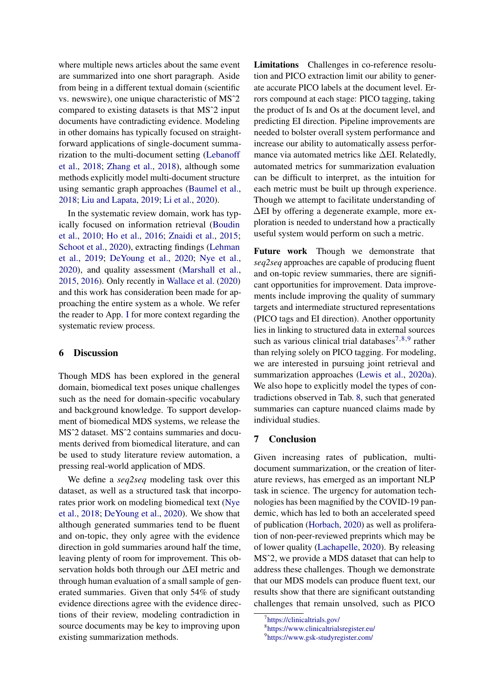where multiple news articles about the same event are summarized into one short paragraph. Aside from being in a different textual domain (scientific vs. newswire), one unique characteristic of MSˆ2 compared to existing datasets is that MSˆ2 input documents have contradicting evidence. Modeling in other domains has typically focused on straightforward applications of single-document summarization to the multi-document setting [\(Lebanoff](#page-10-13) [et al.,](#page-10-13) [2018;](#page-10-13) [Zhang et al.,](#page-12-7) [2018\)](#page-12-7), although some methods explicitly model multi-document structure using semantic graph approaches [\(Baumel et al.,](#page-8-11) [2018;](#page-8-11) [Liu and Lapata,](#page-10-14) [2019;](#page-10-14) [Li et al.,](#page-10-15) [2020\)](#page-10-15).

In the systematic review domain, work has typically focused on information retrieval [\(Boudin](#page-8-12) [et al.,](#page-8-12) [2010;](#page-8-12) [Ho et al.,](#page-9-14) [2016;](#page-9-14) [Znaidi et al.,](#page-12-8) [2015;](#page-12-8) [Schoot et al.,](#page-11-13) [2020\)](#page-11-13), extracting findings [\(Lehman](#page-10-16) [et al.,](#page-10-16) [2019;](#page-10-16) [DeYoung et al.,](#page-9-1) [2020;](#page-9-1) [Nye et al.,](#page-11-5) [2020\)](#page-11-5), and quality assessment [\(Marshall et al.,](#page-10-17) [2015,](#page-10-17) [2016\)](#page-10-2). Only recently in [Wallace et al.](#page-12-1) [\(2020\)](#page-12-1) and this work has consideration been made for approaching the entire system as a whole. We refer the reader to App. [I](#page-17-0) for more context regarding the systematic review process.

#### 6 Discussion

Though MDS has been explored in the general domain, biomedical text poses unique challenges such as the need for domain-specific vocabulary and background knowledge. To support development of biomedical MDS systems, we release the MSˆ2 dataset. MSˆ2 contains summaries and documents derived from biomedical literature, and can be used to study literature review automation, a pressing real-world application of MDS.

We define a *seq2seq* modeling task over this dataset, as well as a structured task that incorporates prior work on modeling biomedical text [\(Nye](#page-11-3) [et al.,](#page-11-3) [2018;](#page-11-3) [DeYoung et al.,](#page-9-1) [2020\)](#page-9-1). We show that although generated summaries tend to be fluent and on-topic, they only agree with the evidence direction in gold summaries around half the time, leaving plenty of room for improvement. This observation holds both through our ∆EI metric and through human evaluation of a small sample of generated summaries. Given that only 54% of study evidence directions agree with the evidence directions of their review, modeling contradiction in source documents may be key to improving upon existing summarization methods.

Limitations Challenges in co-reference resolution and PICO extraction limit our ability to generate accurate PICO labels at the document level. Errors compound at each stage: PICO tagging, taking the product of Is and Os at the document level, and predicting EI direction. Pipeline improvements are needed to bolster overall system performance and increase our ability to automatically assess performance via automated metrics like ∆EI. Relatedly, automated metrics for summarization evaluation can be difficult to interpret, as the intuition for each metric must be built up through experience. Though we attempt to facilitate understanding of ∆EI by offering a degenerate example, more exploration is needed to understand how a practically useful system would perform on such a metric.

Future work Though we demonstrate that *seq2seq* approaches are capable of producing fluent and on-topic review summaries, there are significant opportunities for improvement. Data improvements include improving the quality of summary targets and intermediate structured representations (PICO tags and EI direction). Another opportunity lies in linking to structured data in external sources such as various clinical trial databases<sup>[7](#page-7-0),[8](#page-7-1),[9](#page-7-2)</sup> rather than relying solely on PICO tagging. For modeling, we are interested in pursuing joint retrieval and summarization approaches [\(Lewis et al.,](#page-10-18) [2020a\)](#page-10-18). We also hope to explicitly model the types of contradictions observed in Tab. [8,](#page-6-1) such that generated summaries can capture nuanced claims made by individual studies.

#### 7 Conclusion

Given increasing rates of publication, multidocument summarization, or the creation of literature reviews, has emerged as an important NLP task in science. The urgency for automation technologies has been magnified by the COVID-19 pandemic, which has led to both an accelerated speed of publication [\(Horbach,](#page-9-15) [2020\)](#page-9-15) as well as proliferation of non-peer-reviewed preprints which may be of lower quality [\(Lachapelle,](#page-10-19) [2020\)](#page-10-19). By releasing MSˆ2, we provide a MDS dataset that can help to address these challenges. Though we demonstrate that our MDS models can produce fluent text, our results show that there are significant outstanding challenges that remain unsolved, such as PICO

<span id="page-7-0"></span><sup>7</sup> <https://clinicaltrials.gov/>

<span id="page-7-1"></span><sup>8</sup> <https://www.clinicaltrialsregister.eu/>

<span id="page-7-2"></span><sup>9</sup> <https://www.gsk-studyregister.com/>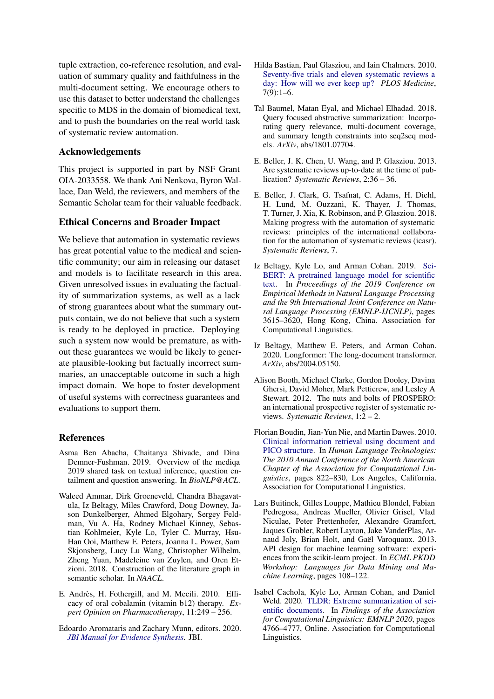tuple extraction, co-reference resolution, and evaluation of summary quality and faithfulness in the multi-document setting. We encourage others to use this dataset to better understand the challenges specific to MDS in the domain of biomedical text, and to push the boundaries on the real world task of systematic review automation.

## Acknowledgements

This project is supported in part by NSF Grant OIA-2033558. We thank Ani Nenkova, Byron Wallace, Dan Weld, the reviewers, and members of the Semantic Scholar team for their valuable feedback.

# Ethical Concerns and Broader Impact

We believe that automation in systematic reviews has great potential value to the medical and scientific community; our aim in releasing our dataset and models is to facilitate research in this area. Given unresolved issues in evaluating the factuality of summarization systems, as well as a lack of strong guarantees about what the summary outputs contain, we do not believe that such a system is ready to be deployed in practice. Deploying such a system now would be premature, as without these guarantees we would be likely to generate plausible-looking but factually incorrect summaries, an unacceptable outcome in such a high impact domain. We hope to foster development of useful systems with correctness guarantees and evaluations to support them.

## References

- <span id="page-8-9"></span>Asma Ben Abacha, Chaitanya Shivade, and Dina Demner-Fushman. 2019. Overview of the mediqa 2019 shared task on textual inference, question entailment and question answering. In *BioNLP@ACL*.
- <span id="page-8-4"></span>Waleed Ammar, Dirk Groeneveld, Chandra Bhagavatula, Iz Beltagy, Miles Crawford, Doug Downey, Jason Dunkelberger, Ahmed Elgohary, Sergey Feldman, Vu A. Ha, Rodney Michael Kinney, Sebastian Kohlmeier, Kyle Lo, Tyler C. Murray, Hsu-Han Ooi, Matthew E. Peters, Joanna L. Power, Sam Skjonsberg, Lucy Lu Wang, Christopher Wilhelm, Zheng Yuan, Madeleine van Zuylen, and Oren Etzioni. 2018. Construction of the literature graph in semantic scholar. In *NAACL*.
- <span id="page-8-2"></span>E. Andrès, H. Fothergill, and M. Mecili. 2010. Efficacy of oral cobalamin (vitamin b12) therapy. *Expert Opinion on Pharmacotherapy*, 11:249 – 256.
- <span id="page-8-13"></span>Edoardo Aromataris and Zachary Munn, editors. 2020. *[JBI Manual for Evidence Synthesis](https://doi.org/10.46658/jbimes-20-01)*. JBI.
- <span id="page-8-3"></span>Hilda Bastian, Paul Glasziou, and Iain Chalmers. 2010. [Seventy-five trials and eleven systematic reviews a](https://doi.org/10.1371/journal.pmed.1000326) [day: How will we ever keep up?](https://doi.org/10.1371/journal.pmed.1000326) *PLOS Medicine*,  $7(9):1-6.$
- <span id="page-8-11"></span>Tal Baumel, Matan Eyal, and Michael Elhadad. 2018. Query focused abstractive summarization: Incorporating query relevance, multi-document coverage, and summary length constraints into seq2seq models. *ArXiv*, abs/1801.07704.
- <span id="page-8-7"></span>E. Beller, J. K. Chen, U. Wang, and P. Glasziou. 2013. Are systematic reviews up-to-date at the time of publication? *Systematic Reviews*, 2:36 – 36.
- <span id="page-8-0"></span>E. Beller, J. Clark, G. Tsafnat, C. Adams, H. Diehl, H. Lund, M. Ouzzani, K. Thayer, J. Thomas, T. Turner, J. Xia, K. Robinson, and P. Glasziou. 2018. Making progress with the automation of systematic reviews: principles of the international collaboration for the automation of systematic reviews (icasr). *Systematic Reviews*, 7.
- <span id="page-8-5"></span>Iz Beltagy, Kyle Lo, and Arman Cohan. 2019. [Sci-](https://doi.org/10.18653/v1/D19-1371)[BERT: A pretrained language model for scientific](https://doi.org/10.18653/v1/D19-1371) [text.](https://doi.org/10.18653/v1/D19-1371) In *Proceedings of the 2019 Conference on Empirical Methods in Natural Language Processing and the 9th International Joint Conference on Natural Language Processing (EMNLP-IJCNLP)*, pages 3615–3620, Hong Kong, China. Association for Computational Linguistics.
- <span id="page-8-8"></span>Iz Beltagy, Matthew E. Peters, and Arman Cohan. 2020. Longformer: The long-document transformer. *ArXiv*, abs/2004.05150.
- <span id="page-8-1"></span>Alison Booth, Michael Clarke, Gordon Dooley, Davina Ghersi, David Moher, Mark Petticrew, and Lesley A Stewart. 2012. The nuts and bolts of PROSPERO: an international prospective register of systematic reviews. *Systematic Reviews*, 1:2 – 2.
- <span id="page-8-12"></span>Florian Boudin, Jian-Yun Nie, and Martin Dawes. 2010. [Clinical information retrieval using document and](https://www.aclweb.org/anthology/N10-1124) [PICO structure.](https://www.aclweb.org/anthology/N10-1124) In *Human Language Technologies: The 2010 Annual Conference of the North American Chapter of the Association for Computational Linguistics*, pages 822–830, Los Angeles, California. Association for Computational Linguistics.
- <span id="page-8-6"></span>Lars Buitinck, Gilles Louppe, Mathieu Blondel, Fabian Pedregosa, Andreas Mueller, Olivier Grisel, Vlad Niculae, Peter Prettenhofer, Alexandre Gramfort, Jaques Grobler, Robert Layton, Jake VanderPlas, Arnaud Joly, Brian Holt, and Gaël Varoquaux. 2013. API design for machine learning software: experiences from the scikit-learn project. In *ECML PKDD Workshop: Languages for Data Mining and Machine Learning*, pages 108–122.
- <span id="page-8-10"></span>Isabel Cachola, Kyle Lo, Arman Cohan, and Daniel Weld. 2020. [TLDR: Extreme summarization of sci](https://www.aclweb.org/anthology/2020.findings-emnlp.428)[entific documents.](https://www.aclweb.org/anthology/2020.findings-emnlp.428) In *Findings of the Association for Computational Linguistics: EMNLP 2020*, pages 4766–4777, Online. Association for Computational Linguistics.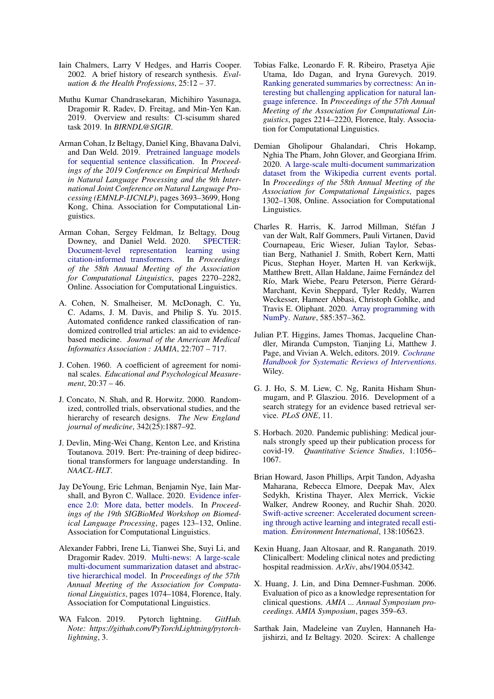- <span id="page-9-2"></span>Iain Chalmers, Larry V Hedges, and Harris Cooper. 2002. A brief history of research synthesis. *Evaluation & the Health Professions*, 25:12 – 37.
- <span id="page-9-12"></span>Muthu Kumar Chandrasekaran, Michihiro Yasunaga, Dragomir R. Radev, D. Freitag, and Min-Yen Kan. 2019. Overview and results: Cl-scisumm shared task 2019. In *BIRNDL@SIGIR*.
- <span id="page-9-5"></span>Arman Cohan, Iz Beltagy, Daniel King, Bhavana Dalvi, and Dan Weld. 2019. [Pretrained language models](https://doi.org/10.18653/v1/D19-1383) [for sequential sentence classification.](https://doi.org/10.18653/v1/D19-1383) In *Proceedings of the 2019 Conference on Empirical Methods in Natural Language Processing and the 9th International Joint Conference on Natural Language Processing (EMNLP-IJCNLP)*, pages 3693–3699, Hong Kong, China. Association for Computational Linguistics.
- <span id="page-9-8"></span>Arman Cohan, Sergey Feldman, Iz Beltagy, Doug Downey, and Daniel Weld. 2020. [SPECTER:](https://doi.org/10.18653/v1/2020.acl-main.207) [Document-level representation learning using](https://doi.org/10.18653/v1/2020.acl-main.207) [citation-informed transformers.](https://doi.org/10.18653/v1/2020.acl-main.207) In *Proceedings of the 58th Annual Meeting of the Association for Computational Linguistics*, pages 2270–2282, Online. Association for Computational Linguistics.
- <span id="page-9-16"></span>A. Cohen, N. Smalheiser, M. McDonagh, C. Yu, C. Adams, J. M. Davis, and Philip S. Yu. 2015. Automated confidence ranked classification of randomized controlled trial articles: an aid to evidencebased medicine. *Journal of the American Medical Informatics Association : JAMIA*, 22:707 – 717.
- <span id="page-9-6"></span>J. Cohen. 1960. A coefficient of agreement for nominal scales. *Educational and Psychological Measurement*, 20:37 – 46.
- <span id="page-9-3"></span>J. Concato, N. Shah, and R. Horwitz. 2000. Randomized, controlled trials, observational studies, and the hierarchy of research designs. *The New England journal of medicine*, 342(25):1887–92.
- <span id="page-9-4"></span>J. Devlin, Ming-Wei Chang, Kenton Lee, and Kristina Toutanova. 2019. Bert: Pre-training of deep bidirectional transformers for language understanding. In *NAACL-HLT*.
- <span id="page-9-1"></span>Jay DeYoung, Eric Lehman, Benjamin Nye, Iain Marshall, and Byron C. Wallace. 2020. [Evidence infer](https://doi.org/10.18653/v1/2020.bionlp-1.13)[ence 2.0: More data, better models.](https://doi.org/10.18653/v1/2020.bionlp-1.13) In *Proceedings of the 19th SIGBioMed Workshop on Biomedical Language Processing*, pages 123–132, Online. Association for Computational Linguistics.
- <span id="page-9-0"></span>Alexander Fabbri, Irene Li, Tianwei She, Suyi Li, and Dragomir Radev. 2019. [Multi-news: A large-scale](https://doi.org/10.18653/v1/P19-1102) [multi-document summarization dataset and abstrac](https://doi.org/10.18653/v1/P19-1102)[tive hierarchical model.](https://doi.org/10.18653/v1/P19-1102) In *Proceedings of the 57th Annual Meeting of the Association for Computational Linguistics*, pages 1074–1084, Florence, Italy. Association for Computational Linguistics.
- <span id="page-9-17"></span>WA Falcon. 2019. Pytorch lightning. *GitHub. Note: https://github.com/PyTorchLightning/pytorchlightning*, 3.
- <span id="page-9-9"></span>Tobias Falke, Leonardo F. R. Ribeiro, Prasetya Ajie Utama, Ido Dagan, and Iryna Gurevych. 2019. [Ranking generated summaries by correctness: An in](https://doi.org/10.18653/v1/P19-1213)[teresting but challenging application for natural lan](https://doi.org/10.18653/v1/P19-1213)[guage inference.](https://doi.org/10.18653/v1/P19-1213) In *Proceedings of the 57th Annual Meeting of the Association for Computational Linguistics*, pages 2214–2220, Florence, Italy. Association for Computational Linguistics.
- <span id="page-9-13"></span>Demian Gholipour Ghalandari, Chris Hokamp, Nghia The Pham, John Glover, and Georgiana Ifrim. 2020. [A large-scale multi-document summarization](https://doi.org/10.18653/v1/2020.acl-main.120) [dataset from the Wikipedia current events portal.](https://doi.org/10.18653/v1/2020.acl-main.120) In *Proceedings of the 58th Annual Meeting of the Association for Computational Linguistics*, pages 1302–1308, Online. Association for Computational Linguistics.
- <span id="page-9-18"></span>Charles R. Harris, K. Jarrod Millman, Stéfan J van der Walt, Ralf Gommers, Pauli Virtanen, David Cournapeau, Eric Wieser, Julian Taylor, Sebastian Berg, Nathaniel J. Smith, Robert Kern, Matti Picus, Stephan Hoyer, Marten H. van Kerkwijk, Matthew Brett, Allan Haldane, Jaime Fernández del Río, Mark Wiebe, Pearu Peterson, Pierre Gérard-Marchant, Kevin Sheppard, Tyler Reddy, Warren Weckesser, Hameer Abbasi, Christoph Gohlke, and Travis E. Oliphant. 2020. [Array programming with](https://doi.org/10.1038/s41586-020-2649-2) [NumPy.](https://doi.org/10.1038/s41586-020-2649-2) *Nature*, 585:357–362.
- <span id="page-9-19"></span>Julian P.T. Higgins, James Thomas, Jacqueline Chandler, Miranda Cumpston, Tianjing Li, Matthew J. Page, and Vivian A. Welch, editors. 2019. *[Cochrane](https://doi.org/10.1002/9781119536604) [Handbook for Systematic Reviews of Interventions](https://doi.org/10.1002/9781119536604)*. Wiley.
- <span id="page-9-14"></span>G. J. Ho, S. M. Liew, C. Ng, Ranita Hisham Shunmugam, and P. Glasziou. 2016. Development of a search strategy for an evidence based retrieval service. *PLoS ONE*, 11.
- <span id="page-9-15"></span>S. Horbach. 2020. Pandemic publishing: Medical journals strongly speed up their publication process for covid-19. *Quantitative Science Studies*, 1:1056– 1067.
- <span id="page-9-20"></span>Brian Howard, Jason Phillips, Arpit Tandon, Adyasha Maharana, Rebecca Elmore, Deepak Mav, Alex Sedykh, Kristina Thayer, Alex Merrick, Vickie Walker, Andrew Rooney, and Ruchir Shah. 2020. [Swift-active screener: Accelerated document screen](https://doi.org/10.1016/j.envint.2020.105623)[ing through active learning and integrated recall esti](https://doi.org/10.1016/j.envint.2020.105623)[mation.](https://doi.org/10.1016/j.envint.2020.105623) *Environment International*, 138:105623.
- <span id="page-9-10"></span>Kexin Huang, Jaan Altosaar, and R. Ranganath. 2019. Clinicalbert: Modeling clinical notes and predicting hospital readmission. *ArXiv*, abs/1904.05342.
- <span id="page-9-7"></span>X. Huang, J. Lin, and Dina Demner-Fushman. 2006. Evaluation of pico as a knowledge representation for clinical questions. *AMIA ... Annual Symposium proceedings. AMIA Symposium*, pages 359–63.
- <span id="page-9-11"></span>Sarthak Jain, Madeleine van Zuylen, Hannaneh Hajishirzi, and Iz Beltagy. 2020. Scirex: A challenge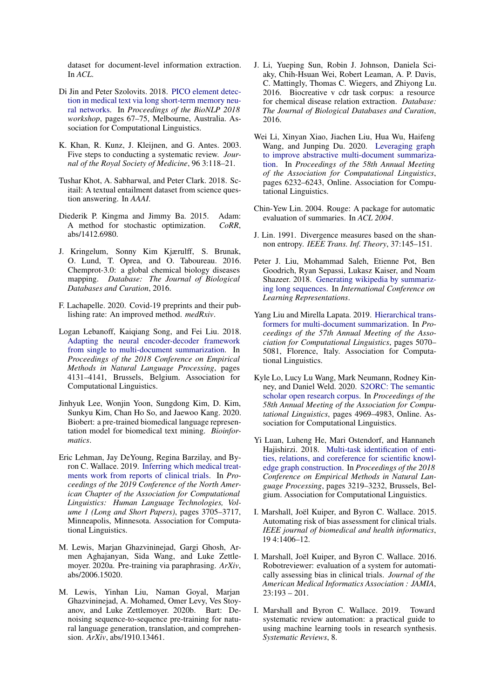dataset for document-level information extraction. In *ACL*.

- <span id="page-10-21"></span>Di Jin and Peter Szolovits. 2018. [PICO element detec](https://doi.org/10.18653/v1/W18-2308)[tion in medical text via long short-term memory neu](https://doi.org/10.18653/v1/W18-2308)[ral networks.](https://doi.org/10.18653/v1/W18-2308) In *Proceedings of the BioNLP 2018 workshop*, pages 67–75, Melbourne, Australia. Association for Computational Linguistics.
- <span id="page-10-1"></span>K. Khan, R. Kunz, J. Kleijnen, and G. Antes. 2003. Five steps to conducting a systematic review. *Journal of the Royal Society of Medicine*, 96 3:118–21.
- <span id="page-10-12"></span>Tushar Khot, A. Sabharwal, and Peter Clark. 2018. Scitail: A textual entailment dataset from science question answering. In *AAAI*.
- <span id="page-10-20"></span>Diederik P. Kingma and Jimmy Ba. 2015. Adam: A method for stochastic optimization. *CoRR*, abs/1412.6980.
- <span id="page-10-11"></span>J. Kringelum, Sonny Kim Kjærulff, S. Brunak, O. Lund, T. Oprea, and O. Taboureau. 2016. Chemprot-3.0: a global chemical biology diseases mapping. *Database: The Journal of Biological Databases and Curation*, 2016.
- <span id="page-10-19"></span>F. Lachapelle. 2020. Covid-19 preprints and their publishing rate: An improved method. *medRxiv*.
- <span id="page-10-13"></span>Logan Lebanoff, Kaiqiang Song, and Fei Liu. 2018. [Adapting the neural encoder-decoder framework](https://doi.org/10.18653/v1/D18-1446) [from single to multi-document summarization.](https://doi.org/10.18653/v1/D18-1446) In *Proceedings of the 2018 Conference on Empirical Methods in Natural Language Processing*, pages 4131–4141, Brussels, Belgium. Association for Computational Linguistics.
- <span id="page-10-8"></span>Jinhyuk Lee, Wonjin Yoon, Sungdong Kim, D. Kim, Sunkyu Kim, Chan Ho So, and Jaewoo Kang. 2020. Biobert: a pre-trained biomedical language representation model for biomedical text mining. *Bioinformatics*.
- <span id="page-10-16"></span>Eric Lehman, Jay DeYoung, Regina Barzilay, and Byron C. Wallace. 2019. [Inferring which medical treat](https://doi.org/10.18653/v1/N19-1371)[ments work from reports of clinical trials.](https://doi.org/10.18653/v1/N19-1371) In *Proceedings of the 2019 Conference of the North American Chapter of the Association for Computational Linguistics: Human Language Technologies, Volume 1 (Long and Short Papers)*, pages 3705–3717, Minneapolis, Minnesota. Association for Computational Linguistics.
- <span id="page-10-18"></span>M. Lewis, Marjan Ghazvininejad, Gargi Ghosh, Armen Aghajanyan, Sida Wang, and Luke Zettlemoyer. 2020a. Pre-training via paraphrasing. *ArXiv*, abs/2006.15020.
- <span id="page-10-4"></span>M. Lewis, Yinhan Liu, Naman Goyal, Marjan Ghazvininejad, A. Mohamed, Omer Levy, Ves Stoyanov, and Luke Zettlemoyer. 2020b. Bart: Denoising sequence-to-sequence pre-training for natural language generation, translation, and comprehension. *ArXiv*, abs/1910.13461.
- <span id="page-10-9"></span>J. Li, Yueping Sun, Robin J. Johnson, Daniela Sciaky, Chih-Hsuan Wei, Robert Leaman, A. P. Davis, C. Mattingly, Thomas C. Wiegers, and Zhiyong Lu. 2016. Biocreative v cdr task corpus: a resource for chemical disease relation extraction. *Database: The Journal of Biological Databases and Curation*, 2016.
- <span id="page-10-15"></span>Wei Li, Xinyan Xiao, Jiachen Liu, Hua Wu, Haifeng Wang, and Junping Du. 2020. [Leveraging graph](https://doi.org/10.18653/v1/2020.acl-main.555) [to improve abstractive multi-document summariza](https://doi.org/10.18653/v1/2020.acl-main.555)[tion.](https://doi.org/10.18653/v1/2020.acl-main.555) In *Proceedings of the 58th Annual Meeting of the Association for Computational Linguistics*, pages 6232–6243, Online. Association for Computational Linguistics.
- <span id="page-10-5"></span>Chin-Yew Lin. 2004. Rouge: A package for automatic evaluation of summaries. In *ACL 2004*.
- <span id="page-10-6"></span>J. Lin. 1991. Divergence measures based on the shannon entropy. *IEEE Trans. Inf. Theory*, 37:145–151.
- <span id="page-10-0"></span>Peter J. Liu, Mohammad Saleh, Etienne Pot, Ben Goodrich, Ryan Sepassi, Lukasz Kaiser, and Noam Shazeer. 2018. [Generating wikipedia by summariz](https://openreview.net/forum?id=Hyg0vbWC-)[ing long sequences.](https://openreview.net/forum?id=Hyg0vbWC-) In *International Conference on Learning Representations*.
- <span id="page-10-14"></span>Yang Liu and Mirella Lapata. 2019. [Hierarchical trans](https://doi.org/10.18653/v1/P19-1500)[formers for multi-document summarization.](https://doi.org/10.18653/v1/P19-1500) In *Proceedings of the 57th Annual Meeting of the Association for Computational Linguistics*, pages 5070– 5081, Florence, Italy. Association for Computational Linguistics.
- <span id="page-10-7"></span>Kyle Lo, Lucy Lu Wang, Mark Neumann, Rodney Kinney, and Daniel Weld. 2020. [S2ORC: The semantic](https://doi.org/10.18653/v1/2020.acl-main.447) [scholar open research corpus.](https://doi.org/10.18653/v1/2020.acl-main.447) In *Proceedings of the 58th Annual Meeting of the Association for Computational Linguistics*, pages 4969–4983, Online. Association for Computational Linguistics.
- <span id="page-10-10"></span>Yi Luan, Luheng He, Mari Ostendorf, and Hannaneh Hajishirzi. 2018. [Multi-task identification of enti](https://doi.org/10.18653/v1/D18-1360)[ties, relations, and coreference for scientific knowl](https://doi.org/10.18653/v1/D18-1360)[edge graph construction.](https://doi.org/10.18653/v1/D18-1360) In *Proceedings of the 2018 Conference on Empirical Methods in Natural Language Processing*, pages 3219–3232, Brussels, Belgium. Association for Computational Linguistics.
- <span id="page-10-17"></span>I. Marshall, Joël Kuiper, and Byron C. Wallace. 2015. Automating risk of bias assessment for clinical trials. *IEEE journal of biomedical and health informatics*, 19 4:1406–12.
- <span id="page-10-2"></span>I. Marshall, Joël Kuiper, and Byron C. Wallace. 2016. Robotreviewer: evaluation of a system for automatically assessing bias in clinical trials. *Journal of the American Medical Informatics Association : JAMIA*, 23:193 – 201.
- <span id="page-10-3"></span>I. Marshall and Byron C. Wallace. 2019. Toward systematic review automation: a practical guide to using machine learning tools in research synthesis. *Systematic Reviews*, 8.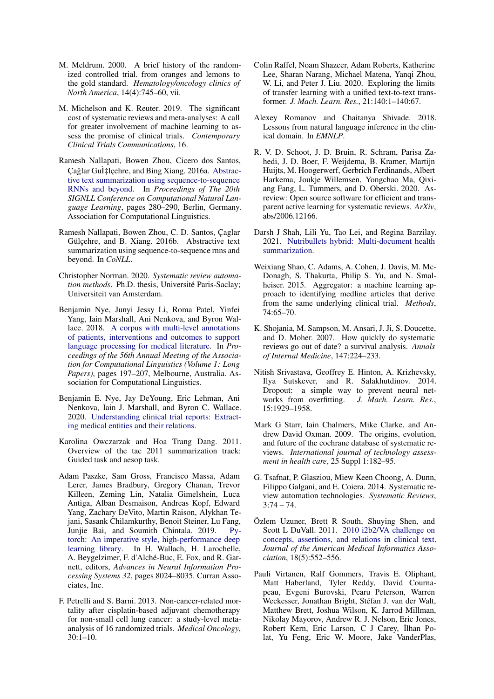- <span id="page-11-6"></span>M. Meldrum. 2000. A brief history of the randomized controlled trial. from oranges and lemons to the gold standard. *Hematology/oncology clinics of North America*, 14(4):745–60, vii.
- <span id="page-11-1"></span>M. Michelson and K. Reuter. 2019. The significant cost of systematic reviews and meta-analyses: A call for greater involvement of machine learning to assess the promise of clinical trials. *Contemporary Clinical Trials Communications*, 16.
- <span id="page-11-7"></span>Ramesh Nallapati, Bowen Zhou, Cicero dos Santos, Çağlar Gul‡lçehre, and Bing Xiang. 2016a. [Abstrac](https://doi.org/10.18653/v1/K16-1028)[tive text summarization using sequence-to-sequence](https://doi.org/10.18653/v1/K16-1028) [RNNs and beyond.](https://doi.org/10.18653/v1/K16-1028) In *Proceedings of The 20th SIGNLL Conference on Computational Natural Language Learning*, pages 280–290, Berlin, Germany. Association for Computational Linguistics.
- <span id="page-11-8"></span>Ramesh Nallapati, Bowen Zhou, C. D. Santos, Çaglar Gülçehre, and B. Xiang. 2016b. Abstractive text summarization using sequence-to-sequence rnns and beyond. In *CoNLL*.
- <span id="page-11-18"></span>Christopher Norman. 2020. *Systematic review automation methods*. Ph.D. thesis, Université Paris-Saclay; Universiteit van Amsterdam.
- <span id="page-11-3"></span>Benjamin Nye, Junyi Jessy Li, Roma Patel, Yinfei Yang, Iain Marshall, Ani Nenkova, and Byron Wallace. 2018. [A corpus with multi-level annotations](https://doi.org/10.18653/v1/P18-1019) [of patients, interventions and outcomes to support](https://doi.org/10.18653/v1/P18-1019) [language processing for medical literature.](https://doi.org/10.18653/v1/P18-1019) In *Proceedings of the 56th Annual Meeting of the Association for Computational Linguistics (Volume 1: Long Papers)*, pages 197–207, Melbourne, Australia. Association for Computational Linguistics.
- <span id="page-11-5"></span>Benjamin E. Nye, Jay DeYoung, Eric Lehman, Ani Nenkova, Iain J. Marshall, and Byron C. Wallace. 2020. [Understanding clinical trial reports: Extract](http://arxiv.org/abs/2010.03550)[ing medical entities and their relations.](http://arxiv.org/abs/2010.03550)
- <span id="page-11-0"></span>Karolina Owczarzak and Hoa Trang Dang. 2011. Overview of the tac 2011 summarization track: Guided task and aesop task.
- <span id="page-11-15"></span>Adam Paszke, Sam Gross, Francisco Massa, Adam Lerer, James Bradbury, Gregory Chanan, Trevor Killeen, Zeming Lin, Natalia Gimelshein, Luca Antiga, Alban Desmaison, Andreas Kopf, Edward Yang, Zachary DeVito, Martin Raison, Alykhan Tejani, Sasank Chilamkurthy, Benoit Steiner, Lu Fang, Junjie Bai, and Soumith Chintala. 2019. [Py](http://papers.neurips.cc/paper/9015-pytorch-an-imperative-style-high-performance-deep-learning-library.pdf)[torch: An imperative style, high-performance deep](http://papers.neurips.cc/paper/9015-pytorch-an-imperative-style-high-performance-deep-learning-library.pdf) [learning library.](http://papers.neurips.cc/paper/9015-pytorch-an-imperative-style-high-performance-deep-learning-library.pdf) In H. Wallach, H. Larochelle, A. Beygelzimer, F. d'Alché-Buc, E. Fox, and R. Garnett, editors, *Advances in Neural Information Processing Systems 32*, pages 8024–8035. Curran Associates, Inc.
- <span id="page-11-11"></span>F. Petrelli and S. Barni. 2013. Non-cancer-related mortality after cisplatin-based adjuvant chemotherapy for non-small cell lung cancer: a study-level metaanalysis of 16 randomized trials. *Medical Oncology*, 30:1–10.
- <span id="page-11-10"></span>Colin Raffel, Noam Shazeer, Adam Roberts, Katherine Lee, Sharan Narang, Michael Matena, Yanqi Zhou, W. Li, and Peter J. Liu. 2020. Exploring the limits of transfer learning with a unified text-to-text transformer. *J. Mach. Learn. Res.*, 21:140:1–140:67.
- <span id="page-11-12"></span>Alexey Romanov and Chaitanya Shivade. 2018. Lessons from natural language inference in the clinical domain. In *EMNLP*.
- <span id="page-11-13"></span>R. V. D. Schoot, J. D. Bruin, R. Schram, Parisa Zahedi, J. D. Boer, F. Weijdema, B. Kramer, Martijn Huijts, M. Hoogerwerf, Gerbrich Ferdinands, Albert Harkema, Joukje Willemsen, Yongchao Ma, Qixiang Fang, L. Tummers, and D. Oberski. 2020. Asreview: Open source software for efficient and transparent active learning for systematic reviews. *ArXiv*, abs/2006.12166.
- <span id="page-11-20"></span>Darsh J Shah, Lili Yu, Tao Lei, and Regina Barzilay. 2021. [Nutribullets hybrid: Multi-document health](http://arxiv.org/abs/2104.03465) [summarization.](http://arxiv.org/abs/2104.03465)
- <span id="page-11-14"></span>Weixiang Shao, C. Adams, A. Cohen, J. Davis, M. Mc-Donagh, S. Thakurta, Philip S. Yu, and N. Smalheiser. 2015. Aggregator: a machine learning approach to identifying medline articles that derive from the same underlying clinical trial. *Methods*, 74:65–70.
- <span id="page-11-9"></span>K. Shojania, M. Sampson, M. Ansari, J. Ji, S. Doucette, and D. Moher. 2007. How quickly do systematic reviews go out of date? a survival analysis. *Annals of Internal Medicine*, 147:224–233.
- <span id="page-11-16"></span>Nitish Srivastava, Geoffrey E. Hinton, A. Krizhevsky, Ilya Sutskever, and R. Salakhutdinov. 2014. Dropout: a simple way to prevent neural networks from overfitting. *J. Mach. Learn. Res.*, 15:1929–1958.
- <span id="page-11-4"></span>Mark G Starr, Iain Chalmers, Mike Clarke, and Andrew David Oxman. 2009. The origins, evolution, and future of the cochrane database of systematic reviews. *International journal of technology assessment in health care*, 25 Suppl 1:182–95.
- <span id="page-11-2"></span>G. Tsafnat, P. Glasziou, Miew Keen Choong, A. Dunn, Filippo Galgani, and E. Coiera. 2014. Systematic review automation technologies. *Systematic Reviews*,  $3:74 - 74.$
- <span id="page-11-19"></span>Özlem Uzuner, Brett R South, Shuying Shen, and Scott L DuVall. 2011. [2010 i2b2/VA challenge on](https://doi.org/10.1136/amiajnl-2011-000203) [concepts, assertions, and relations in clinical text.](https://doi.org/10.1136/amiajnl-2011-000203) *Journal of the American Medical Informatics Association*, 18(5):552–556.
- <span id="page-11-17"></span>Pauli Virtanen, Ralf Gommers, Travis E. Oliphant, Matt Haberland, Tyler Reddy, David Cournapeau, Evgeni Burovski, Pearu Peterson, Warren Weckesser, Jonathan Bright, Stéfan J. van der Walt, Matthew Brett, Joshua Wilson, K. Jarrod Millman, Nikolay Mayorov, Andrew R. J. Nelson, Eric Jones, Robert Kern, Eric Larson, C J Carey, İlhan Polat, Yu Feng, Eric W. Moore, Jake VanderPlas,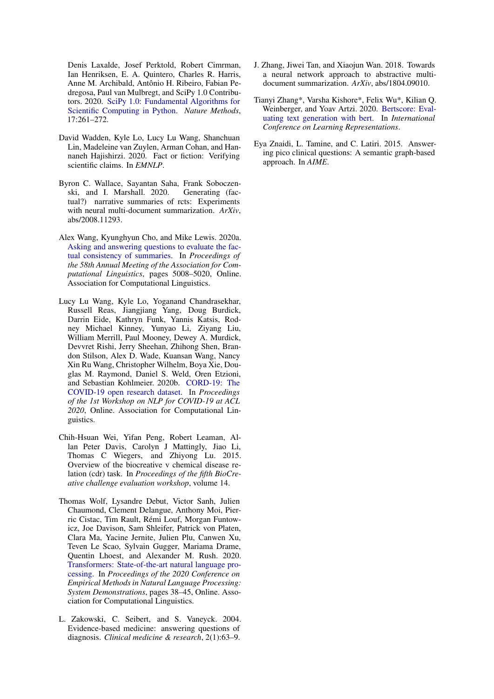Denis Laxalde, Josef Perktold, Robert Cimrman, Ian Henriksen, E. A. Quintero, Charles R. Harris, Anne M. Archibald, Antônio H. Ribeiro, Fabian Pedregosa, Paul van Mulbregt, and SciPy 1.0 Contributors. 2020. [SciPy 1.0: Fundamental Algorithms for](https://doi.org/10.1038/s41592-019-0686-2) [Scientific Computing in Python.](https://doi.org/10.1038/s41592-019-0686-2) *Nature Methods*, 17:261–272.

- <span id="page-12-6"></span>David Wadden, Kyle Lo, Lucy Lu Wang, Shanchuan Lin, Madeleine van Zuylen, Arman Cohan, and Hannaneh Hajishirzi. 2020. Fact or fiction: Verifying scientific claims. In *EMNLP*.
- <span id="page-12-1"></span>Byron C. Wallace, Sayantan Saha, Frank Soboczenski, and I. Marshall. 2020. Generating (factual?) narrative summaries of rcts: Experiments with neural multi-document summarization. *ArXiv*, abs/2008.11293.
- <span id="page-12-4"></span>Alex Wang, Kyunghyun Cho, and Mike Lewis. 2020a. [Asking and answering questions to evaluate the fac](https://doi.org/10.18653/v1/2020.acl-main.450)[tual consistency of summaries.](https://doi.org/10.18653/v1/2020.acl-main.450) In *Proceedings of the 58th Annual Meeting of the Association for Computational Linguistics*, pages 5008–5020, Online. Association for Computational Linguistics.
- <span id="page-12-5"></span>Lucy Lu Wang, Kyle Lo, Yoganand Chandrasekhar, Russell Reas, Jiangjiang Yang, Doug Burdick, Darrin Eide, Kathryn Funk, Yannis Katsis, Rodney Michael Kinney, Yunyao Li, Ziyang Liu, William Merrill, Paul Mooney, Dewey A. Murdick, Devvret Rishi, Jerry Sheehan, Zhihong Shen, Brandon Stilson, Alex D. Wade, Kuansan Wang, Nancy Xin Ru Wang, Christopher Wilhelm, Boya Xie, Douglas M. Raymond, Daniel S. Weld, Oren Etzioni, and Sebastian Kohlmeier. 2020b. [CORD-19: The](https://www.aclweb.org/anthology/2020.nlpcovid19-acl.1) [COVID-19 open research dataset.](https://www.aclweb.org/anthology/2020.nlpcovid19-acl.1) In *Proceedings of the 1st Workshop on NLP for COVID-19 at ACL 2020*, Online. Association for Computational Linguistics.
- <span id="page-12-9"></span>Chih-Hsuan Wei, Yifan Peng, Robert Leaman, Allan Peter Davis, Carolyn J Mattingly, Jiao Li, Thomas C Wiegers, and Zhiyong Lu. 2015. Overview of the biocreative v chemical disease relation (cdr) task. In *Proceedings of the fifth BioCreative challenge evaluation workshop*, volume 14.
- <span id="page-12-2"></span>Thomas Wolf, Lysandre Debut, Victor Sanh, Julien Chaumond, Clement Delangue, Anthony Moi, Pierric Cistac, Tim Rault, Rémi Louf, Morgan Funtowicz, Joe Davison, Sam Shleifer, Patrick von Platen, Clara Ma, Yacine Jernite, Julien Plu, Canwen Xu, Teven Le Scao, Sylvain Gugger, Mariama Drame, Quentin Lhoest, and Alexander M. Rush. 2020. [Transformers: State-of-the-art natural language pro](https://www.aclweb.org/anthology/2020.emnlp-demos.6)[cessing.](https://www.aclweb.org/anthology/2020.emnlp-demos.6) In *Proceedings of the 2020 Conference on Empirical Methods in Natural Language Processing: System Demonstrations*, pages 38–45, Online. Association for Computational Linguistics.
- <span id="page-12-0"></span>L. Zakowski, C. Seibert, and S. Vaneyck. 2004. Evidence-based medicine: answering questions of diagnosis. *Clinical medicine & research*, 2(1):63–9.
- <span id="page-12-7"></span>J. Zhang, Jiwei Tan, and Xiaojun Wan. 2018. Towards a neural network approach to abstractive multidocument summarization. *ArXiv*, abs/1804.09010.
- <span id="page-12-3"></span>Tianyi Zhang\*, Varsha Kishore\*, Felix Wu\*, Kilian Q. Weinberger, and Yoav Artzi. 2020. [Bertscore: Eval](https://openreview.net/forum?id=SkeHuCVFDr)[uating text generation with bert.](https://openreview.net/forum?id=SkeHuCVFDr) In *International Conference on Learning Representations*.
- <span id="page-12-8"></span>Eya Znaidi, L. Tamine, and C. Latiri. 2015. Answering pico clinical questions: A semantic graph-based approach. In *AIME*.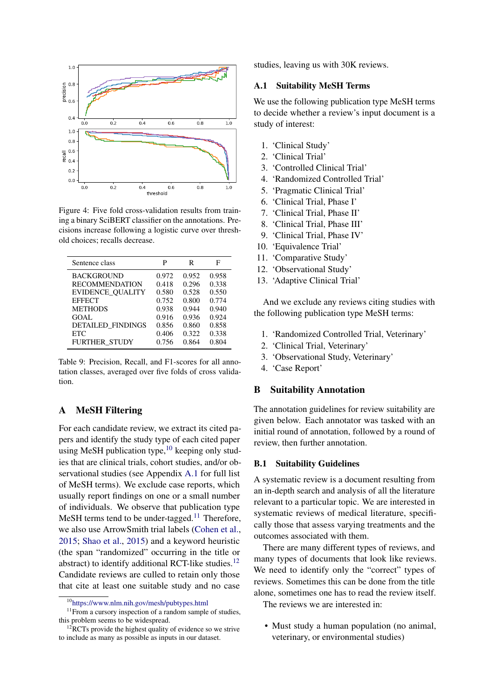<span id="page-13-7"></span>

Figure 4: Five fold cross-validation results from training a binary SciBERT classifier on the annotations. Precisions increase following a logistic curve over threshold choices; recalls decrease.

<span id="page-13-1"></span>

| Sentence class           | Р     | R     | F     |
|--------------------------|-------|-------|-------|
| <b>BACKGROUND</b>        | 0.972 | 0.952 | 0.958 |
| <b>RECOMMENDATION</b>    | 0.418 | 0.296 | 0.338 |
| <b>EVIDENCE OUALITY</b>  | 0.580 | 0.528 | 0.550 |
| <b>EFFECT</b>            | 0.752 | 0.800 | 0.774 |
| <b>METHODS</b>           | 0.938 | 0.944 | 0.940 |
| GOAL                     | 0.916 | 0.936 | 0.924 |
| <b>DETAILED FINDINGS</b> | 0.856 | 0.860 | 0.858 |
| ETC.                     | 0.406 | 0.322 | 0.338 |
| <b>FURTHER STUDY</b>     | 0.756 | 0.864 | 0.804 |

Table 9: Precision, Recall, and F1-scores for all annotation classes, averaged over five folds of cross validation.

## <span id="page-13-0"></span>A MeSH Filtering

For each candidate review, we extract its cited papers and identify the study type of each cited paper using MeSH publication type,  $10$  keeping only studies that are clinical trials, cohort studies, and/or observational studies (see Appendix [A.1](#page-13-3) for full list of MeSH terms). We exclude case reports, which usually report findings on one or a small number of individuals. We observe that publication type MeSH terms tend to be under-tagged.<sup>[11](#page-13-4)</sup> Therefore, we also use ArrowSmith trial labels [\(Cohen et al.,](#page-9-16) [2015;](#page-9-16) [Shao et al.,](#page-11-14) [2015\)](#page-11-14) and a keyword heuristic (the span "randomized" occurring in the title or abstract) to identify additional RCT-like studies.<sup>[12](#page-13-5)</sup> Candidate reviews are culled to retain only those that cite at least one suitable study and no case

studies, leaving us with 30K reviews.

## <span id="page-13-3"></span>A.1 Suitability MeSH Terms

We use the following publication type MeSH terms to decide whether a review's input document is a study of interest:

- 1. 'Clinical Study'
- 2. 'Clinical Trial'
- 3. 'Controlled Clinical Trial'
- 4. 'Randomized Controlled Trial'
- 5. 'Pragmatic Clinical Trial'
- 6. 'Clinical Trial, Phase I'
- 7. 'Clinical Trial, Phase II'
- 8. 'Clinical Trial, Phase III'
- 9. 'Clinical Trial, Phase IV'
- 10. 'Equivalence Trial'
- 11. 'Comparative Study'
- 12. 'Observational Study'
- 13. 'Adaptive Clinical Trial'

And we exclude any reviews citing studies with the following publication type MeSH terms:

- 1. 'Randomized Controlled Trial, Veterinary'
- 2. 'Clinical Trial, Veterinary'
- 3. 'Observational Study, Veterinary'
- 4. 'Case Report'

#### <span id="page-13-6"></span>B Suitability Annotation

The annotation guidelines for review suitability are given below. Each annotator was tasked with an initial round of annotation, followed by a round of review, then further annotation.

## B.1 Suitability Guidelines

A systematic review is a document resulting from an in-depth search and analysis of all the literature relevant to a particular topic. We are interested in systematic reviews of medical literature, specifically those that assess varying treatments and the outcomes associated with them.

There are many different types of reviews, and many types of documents that look like reviews. We need to identify only the "correct" types of reviews. Sometimes this can be done from the title alone, sometimes one has to read the review itself.

The reviews we are interested in:

• Must study a human population (no animal, veterinary, or environmental studies)

<span id="page-13-4"></span><span id="page-13-2"></span><sup>10</sup><https://www.nlm.nih.gov/mesh/pubtypes.html>

<sup>&</sup>lt;sup>11</sup>From a cursory inspection of a random sample of studies, this problem seems to be widespread.

<span id="page-13-5"></span> $12$ RCTs provide the highest quality of evidence so we strive to include as many as possible as inputs in our dataset.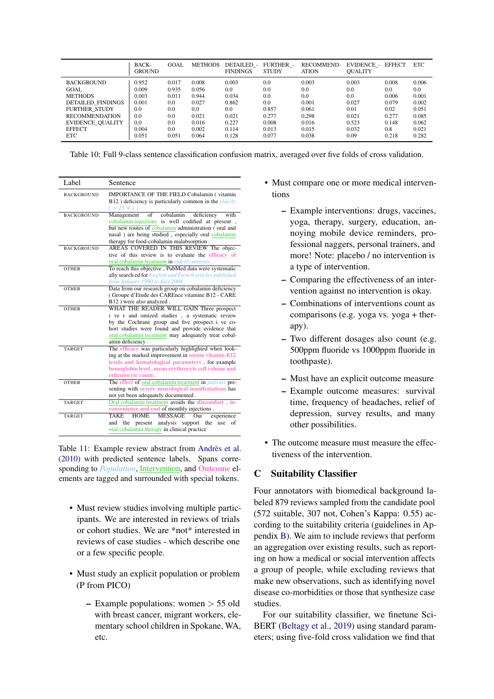<span id="page-14-2"></span>

|                          | <b>BACK-</b><br><b>GROUND</b> | <b>GOAL</b> | <b>METHODS</b> | <b>DETAILED</b> -<br><b>FINDINGS</b> | <b>FURTHER -</b><br><b>STUDY</b> | RECOMMEND-<br><b>ATION</b> | <b>EVIDENCE - EFFECT</b><br><b>OUALITY</b> |       | <b>ETC</b> |
|--------------------------|-------------------------------|-------------|----------------|--------------------------------------|----------------------------------|----------------------------|--------------------------------------------|-------|------------|
| <b>BACKGROUND</b>        | 0.952                         | 0.017       | 0.008          | 0.003                                | 0.0                              | 0.003                      | 0.003                                      | 0.008 | 0.006      |
| GOAL                     | 0.009                         | 0.935       | 0.056          | 0.0                                  | 0.0                              | 0.0                        | 0.0                                        | 0.0   | 0.0        |
| <b>METHODS</b>           | 0.003                         | 0.011       | 0.944          | 0.034                                | 0.0                              | 0.0                        | 0.0                                        | 0.006 | 0.001      |
| <b>DETAILED FINDINGS</b> | 0.001                         | $0.0\,$     | 0.027          | 0.862                                | 0.0                              | 0.001                      | 0.027                                      | 0.079 | 0.002      |
| <b>FURTHER STUDY</b>     | 0.0                           | $0.0\,$     | 0.0            | 0.0                                  | 0.857                            | 0.061                      | 0.01                                       | 0.02  | 0.051      |
| <b>RECOMMENDATION</b>    | 0.0                           | 0.0         | 0.021          | 0.021                                | 0.277                            | 0.298                      | 0.021                                      | 0.277 | 0.085      |
| EVIDENCE_QUALITY         | 0.0                           | 0.0         | 0.016          | 0.227                                | 0.008                            | 0.016                      | 0.523                                      | 0.148 | 0.062      |
| <b>EFFECT</b>            | 0.004                         | 0.0         | 0.002          | 0.114                                | 0.013                            | 0.015                      | 0.032                                      | 0.8   | 0.021      |
| <b>ETC</b>               | 0.051                         | 0.051       | 0.064          | 0.128                                | 0.077                            | 0.038                      | 0.09                                       | 0.218 | 0.282      |

Table 10: Full 9-class sentence classification confusion matrix, averaged over five folds of cross validation.

<span id="page-14-0"></span>

| Label             | Sentence                                                                                                                                                                                                                                                                        |
|-------------------|---------------------------------------------------------------------------------------------------------------------------------------------------------------------------------------------------------------------------------------------------------------------------------|
| <b>BACKGROUND</b> | IMPORTANCE OF THE FIELD Cobalamin (vitamin<br>B12) deficiency is particularly common in the <i>elderly</i><br>$( > 15\%)$ .                                                                                                                                                     |
| <b>BACKGROUND</b> | cobalamin<br>Management<br>with<br>of<br>deficiency<br>cobalamin injections is well codified at present,<br>but new routes of cobalamin administration (oral and<br>nasal) are being studied, especially oral cobalamin<br>therapy for food-cobalamin malabsorption.            |
| <b>BACKGROUND</b> | AREAS COVERED IN THIS REVIEW The objec-<br>tive of this review is to evaluate the efficacy of<br>oral cobalamin treatment in elderly patients.                                                                                                                                  |
| <b>OTHER</b>      | To reach this objective, PubMed data were systematic<br>ally search ed for <i>English and French articles published</i><br>from January 1990 to July 2008.                                                                                                                      |
| <b>OTHER</b>      | Data from our research group on cobalamin deficiency<br>(Groupe d'Etude des CAREnce vitamine B12 - CARE<br>B12) were also analyzed.                                                                                                                                             |
| <b>OTHER</b>      | WHAT THE READER WILL GAIN Three prospect<br>i ve r and omized studies, a systematic review<br>by the Cochrane group and five prospect i ve co-<br>hort studies were found and provide evidence that<br>oral cobalamin treatment may adequately treat cobal-<br>amin deficiency. |
| <b>TARGET</b>     | The efficacy was particularly highlighted when look-<br>ing at the marked improvement in serum vitamin B12<br>levels and hematological parameters, for example<br>hemoglobin level, mean erythrocyte cell volume and<br>reticulocyte count.                                     |
| <b>OTHER</b>      | The effect of oral cobalamin treatment in <i>patients</i> pre-<br>senting with severe neurological manifestations has<br>not yet been adequately documented.                                                                                                                    |
| <b>TARGET</b>     | Oral cobalamin treatment avoids the discomfort, in-<br>convenience and cost of monthly injections.                                                                                                                                                                              |
| <b>TARGET</b>     | <b>HOME</b><br><b>MESSAGE</b><br><b>TAKE</b><br>Our<br>experience<br>the present analysis support the<br>and<br>use<br>οf<br>oral cobalamin therapy in clinical practice                                                                                                        |

Table 11: Example review abstract from [Andrès et al.](#page-8-2) [\(2010\)](#page-8-2) with predicted sentence labels. Spans corresponding to *Population*, Intervention, and Outcome elements are tagged and surrounded with special tokens.

- Must review studies involving multiple participants. We are interested in reviews of trials or cohort studies. We are \*not\* interested in reviews of case studies - which describe one or a few specific people.
- Must study an explicit population or problem (P from PICO)
	- $-$  Example populations: women  $> 55$  old with breast cancer, migrant workers, elementary school children in Spokane, WA, etc.
- Must compare one or more medical interventions
	- Example interventions: drugs, vaccines, yoga, therapy, surgery, education, annoying mobile device reminders, professional naggers, personal trainers, and more! Note: placebo / no intervention is a type of intervention.
	- Comparing the effectiveness of an intervention against no intervention is okay.
	- Combinations of interventions count as comparisons (e.g. yoga vs. yoga + therapy).
	- Two different dosages also count (e.g. 500ppm fluoride vs 1000ppm fluoride in toothpaste).
	- Must have an explicit outcome measure
	- Example outcome measures: survival time, frequency of headaches, relief of depression, survey results, and many other possibilities.
- The outcome measure must measure the effectiveness of the intervention.

# <span id="page-14-1"></span>C Suitability Classifier

Four annotators with biomedical background labeled 879 reviews sampled from the candidate pool (572 suitable, 307 not, Cohen's Kappa: 0.55) according to the suitability criteria (guidelines in Appendix [B\)](#page-13-6). We aim to include reviews that perform an aggregation over existing results, such as reporting on how a medical or social intervention affects a group of people, while excluding reviews that make new observations, such as identifying novel disease co-morbidities or those that synthesize case studies.

For our suitability classifier, we finetune Sci-BERT [\(Beltagy et al.,](#page-8-5) [2019\)](#page-8-5) using standard parameters; using five-fold cross validation we find that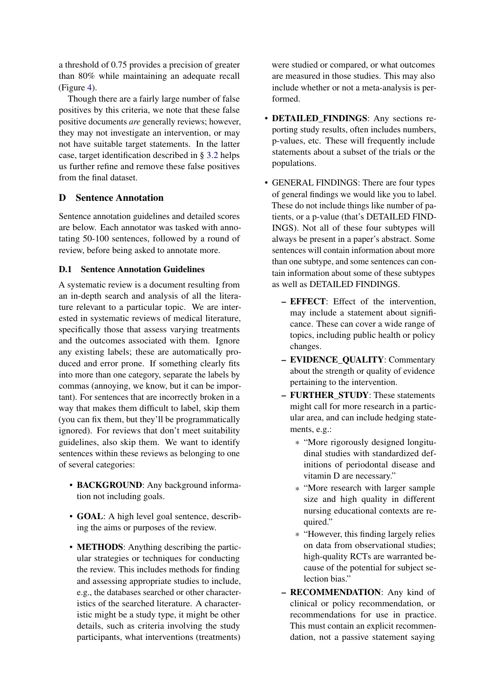a threshold of 0.75 provides a precision of greater than 80% while maintaining an adequate recall (Figure [4\)](#page-13-7).

Though there are a fairly large number of false positives by this criteria, we note that these false positive documents *are* generally reviews; however, they may not investigate an intervention, or may not have suitable target statements. In the latter case, target identification described in § [3.2](#page-2-0) helps us further refine and remove these false positives from the final dataset.

# <span id="page-15-0"></span>D Sentence Annotation

Sentence annotation guidelines and detailed scores are below. Each annotator was tasked with annotating 50-100 sentences, followed by a round of review, before being asked to annotate more.

# D.1 Sentence Annotation Guidelines

A systematic review is a document resulting from an in-depth search and analysis of all the literature relevant to a particular topic. We are interested in systematic reviews of medical literature, specifically those that assess varying treatments and the outcomes associated with them. Ignore any existing labels; these are automatically produced and error prone. If something clearly fits into more than one category, separate the labels by commas (annoying, we know, but it can be important). For sentences that are incorrectly broken in a way that makes them difficult to label, skip them (you can fix them, but they'll be programmatically ignored). For reviews that don't meet suitability guidelines, also skip them. We want to identify sentences within these reviews as belonging to one of several categories:

- BACKGROUND: Any background information not including goals.
- **GOAL**: A high level goal sentence, describing the aims or purposes of the review.
- **METHODS**: Anything describing the particular strategies or techniques for conducting the review. This includes methods for finding and assessing appropriate studies to include, e.g., the databases searched or other characteristics of the searched literature. A characteristic might be a study type, it might be other details, such as criteria involving the study participants, what interventions (treatments)

were studied or compared, or what outcomes are measured in those studies. This may also include whether or not a meta-analysis is performed.

- DETAILED FINDINGS: Any sections reporting study results, often includes numbers, p-values, etc. These will frequently include statements about a subset of the trials or the populations.
- GENERAL FINDINGS: There are four types of general findings we would like you to label. These do not include things like number of patients, or a p-value (that's DETAILED FIND-INGS). Not all of these four subtypes will always be present in a paper's abstract. Some sentences will contain information about more than one subtype, and some sentences can contain information about some of these subtypes as well as DETAILED FINDINGS.
	- EFFECT: Effect of the intervention, may include a statement about significance. These can cover a wide range of topics, including public health or policy changes.
	- EVIDENCE\_QUALITY: Commentary about the strength or quality of evidence pertaining to the intervention.
	- **FURTHER STUDY:** These statements might call for more research in a particular area, and can include hedging statements, e.g.:
		- \* "More rigorously designed longitudinal studies with standardized definitions of periodontal disease and vitamin D are necessary."
		- \* "More research with larger sample size and high quality in different nursing educational contexts are required."
		- \* "However, this finding largely relies on data from observational studies; high-quality RCTs are warranted because of the potential for subject selection bias."
	- RECOMMENDATION: Any kind of clinical or policy recommendation, or recommendations for use in practice. This must contain an explicit recommendation, not a passive statement saying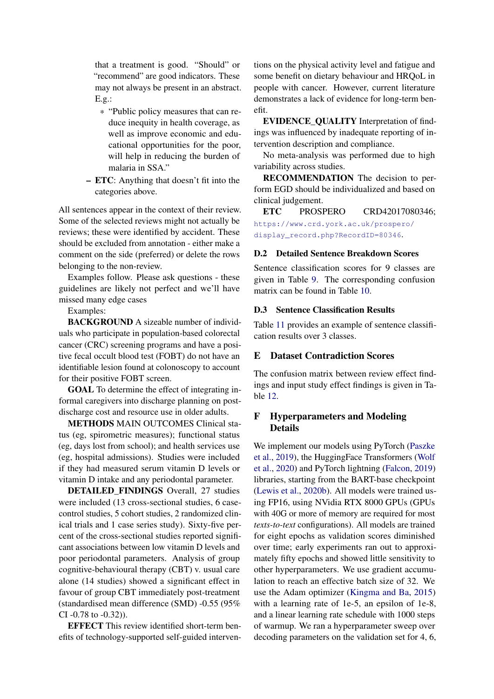that a treatment is good. "Should" or "recommend" are good indicators. These may not always be present in an abstract. E.g.:

- \* "Public policy measures that can reduce inequity in health coverage, as well as improve economic and educational opportunities for the poor, will help in reducing the burden of malaria in SSA."
- ETC: Anything that doesn't fit into the categories above.

All sentences appear in the context of their review. Some of the selected reviews might not actually be reviews; these were identified by accident. These should be excluded from annotation - either make a comment on the side (preferred) or delete the rows belonging to the non-review.

Examples follow. Please ask questions - these guidelines are likely not perfect and we'll have missed many edge cases

Examples:

BACKGROUND A sizeable number of individuals who participate in population-based colorectal cancer (CRC) screening programs and have a positive fecal occult blood test (FOBT) do not have an identifiable lesion found at colonoscopy to account for their positive FOBT screen.

GOAL To determine the effect of integrating informal caregivers into discharge planning on postdischarge cost and resource use in older adults.

METHODS MAIN OUTCOMES Clinical status (eg, spirometric measures); functional status (eg, days lost from school); and health services use (eg, hospital admissions). Studies were included if they had measured serum vitamin D levels or vitamin D intake and any periodontal parameter.

DETAILED\_FINDINGS Overall, 27 studies were included (13 cross-sectional studies, 6 casecontrol studies, 5 cohort studies, 2 randomized clinical trials and 1 case series study). Sixty-five percent of the cross-sectional studies reported significant associations between low vitamin D levels and poor periodontal parameters. Analysis of group cognitive-behavioural therapy (CBT) v. usual care alone (14 studies) showed a significant effect in favour of group CBT immediately post-treatment (standardised mean difference (SMD) -0.55 (95% CI -0.78 to -0.32)).

EFFECT This review identified short-term benefits of technology-supported self-guided interventions on the physical activity level and fatigue and some benefit on dietary behaviour and HRQoL in people with cancer. However, current literature demonstrates a lack of evidence for long-term benefit.

EVIDENCE\_QUALITY Interpretation of findings was influenced by inadequate reporting of intervention description and compliance.

No meta-analysis was performed due to high variability across studies.

RECOMMENDATION The decision to perform EGD should be individualized and based on clinical judgement.

ETC PROSPERO CRD42017080346; [https://www.crd.york.ac.uk/prospero/](https://www.crd.york.ac.uk/prospero/display_record.php?RecordID=80346) [display\\_record.php?RecordID=80346](https://www.crd.york.ac.uk/prospero/display_record.php?RecordID=80346).

## D.2 Detailed Sentence Breakdown Scores

Sentence classification scores for 9 classes are given in Table [9.](#page-13-1) The corresponding confusion matrix can be found in Table [10.](#page-14-2)

## <span id="page-16-0"></span>D.3 Sentence Classification Results

Table [11](#page-14-0) provides an example of sentence classification results over 3 classes.

## E Dataset Contradiction Scores

The confusion matrix between review effect findings and input study effect findings is given in Table [12.](#page-17-3)

# <span id="page-16-1"></span>F Hyperparameters and Modeling Details

We implement our models using PyTorch [\(Paszke](#page-11-15) [et al.,](#page-11-15) [2019\)](#page-11-15), the HuggingFace Transformers [\(Wolf](#page-12-2) [et al.,](#page-12-2) [2020\)](#page-12-2) and PyTorch lightning [\(Falcon,](#page-9-17) [2019\)](#page-9-17) libraries, starting from the BART-base checkpoint [\(Lewis et al.,](#page-10-4) [2020b\)](#page-10-4). All models were trained using FP16, using NVidia RTX 8000 GPUs (GPUs with 40G or more of memory are required for most *texts-to-text* configurations). All models are trained for eight epochs as validation scores diminished over time; early experiments ran out to approximately fifty epochs and showed little sensitivity to other hyperparameters. We use gradient accumulation to reach an effective batch size of 32. We use the Adam optimizer [\(Kingma and Ba,](#page-10-20) [2015\)](#page-10-20) with a learning rate of 1e-5, an epsilon of 1e-8, and a linear learning rate schedule with 1000 steps of warmup. We ran a hyperparameter sweep over decoding parameters on the validation set for 4, 6,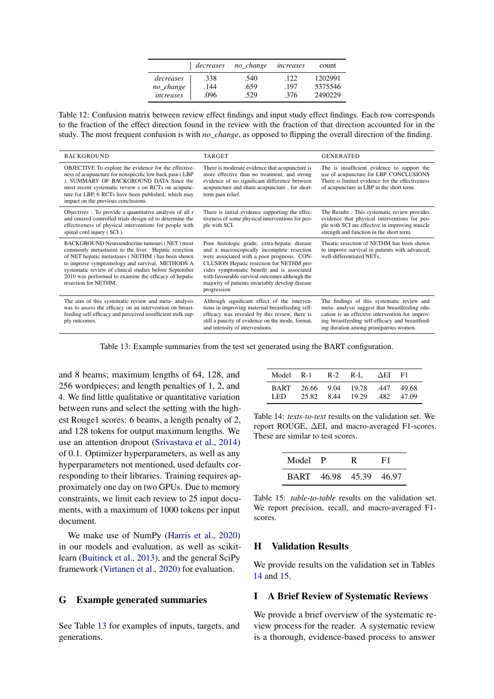|           | decreases | no_change | increases | count   |
|-----------|-----------|-----------|-----------|---------|
| decreases | .338      | .540      | .122      | 1202991 |
| no_change | .144      | .659      | .197      | 5375546 |
| increases | .096      | 529       | .376      | 2490229 |

<span id="page-17-3"></span>Table 12: Confusion matrix between review effect findings and input study effect findings. Each row corresponds to the fraction of the effect direction found in the review with the fraction of that direction accounted for in the study. The most frequent confusion is with *no\_change*, as opposed to flipping the overall direction of the finding.

<span id="page-17-1"></span>

| <b>BACKGROUND</b>                                                                                                                                                                                                                                                                                                                                      | <b>TARGET</b>                                                                                                                                                                                                                                                                                                                                            | <b>GENERATED</b>                                                                                                                                                                                                                            |
|--------------------------------------------------------------------------------------------------------------------------------------------------------------------------------------------------------------------------------------------------------------------------------------------------------------------------------------------------------|----------------------------------------------------------------------------------------------------------------------------------------------------------------------------------------------------------------------------------------------------------------------------------------------------------------------------------------------------------|---------------------------------------------------------------------------------------------------------------------------------------------------------------------------------------------------------------------------------------------|
| OBJECTIVE To explore the evidence for the effective-<br>ness of acupuncture for nonspecific low back pain (LBP)<br>). SUMMARY OF BACKGROUND DATA Since the<br>most recent systematic review s on RCTs on acupunc-<br>ture for LBP, 6 RCTs have been published, which may<br>impact on the previous conclusions.                                        | There is moderate evidence that acupuncture is<br>more effective than no treatment, and strong<br>evidence of no significant difference between<br>acupuncture and sham acupuncture, for short-<br>term pain relief.                                                                                                                                     | The is insufficient evidence to support the<br>use of acupuncture for LBP. CONCLUSIONS<br>There is limited evidence for the effectiveness<br>of acupuncture in LBP in the short term.                                                       |
| Objectives : To provide a quantitative analysis of all r<br>and omized controlled trials design ed to determine the<br>effectiveness of physical interventions for people with<br>spinal cord injury (SCI).                                                                                                                                            | There is initial evidence supporting the effec-<br>tiveness of some physical interventions for peo-<br>ple with SCI.                                                                                                                                                                                                                                     | The Results: This systematic review provides<br>evidence that physical interventions for peo-<br>ple with SCI are effective in improving muscle<br>strength and function in the short term.                                                 |
| BACKGROUND Neuroendocrine tumours (NET) most<br>commonly metastasize to the liver. Hepatic resection<br>of NET hepatic metastases (NETHM) has been shown<br>to improve symptomology and survival. METHODS A<br>systematic review of clinical studies before September<br>2010 was performed to examine the efficacy of hepatic<br>resection for NETHM. | Poor histologic grade, extra-hepatic disease<br>and a macroscopically incomplete resection<br>were associated with a poor prognosis. CON-<br>CLUSION Hepatic resection for NETHM pro-<br>vides symptomatic benefit and is associated<br>with favourable survival outcomes although the<br>majority of patients invariably develop disease<br>progression | Theatic resection of NETHM has been shown<br>to improve survival in patients with advanced,<br>well-differentiated NETs.                                                                                                                    |
| The aim of this systematic review and meta- analysis<br>was to assess the efficacy on an intervention on breast-<br>feeding self-efficacy and perceived insufficient milk sup-<br>ply outcomes.                                                                                                                                                        | Although significant effect of the interven-<br>tions in improving maternal breastfeeding self-<br>efficacy was revealed by this review, there is<br>still a paucity of evidence on the mode, format,<br>and intensity of interventions.                                                                                                                 | The findings of this systematic review and<br>meta- analysis suggest that breastfeeding edu-<br>cation is an effective intervention for improv-<br>ing breastfeeding self-efficacy and breastfeed-<br>ing duration among primiparous women. |

Table 13: Example summaries from the test set generated using the BART configuration.

and 8 beams; maximum lengths of 64, 128, and 256 wordpieces; and length penalties of 1, 2, and 4. We find little qualitative or quantitative variation between runs and select the setting with the highest Rouge1 scores: 6 beams, a length penalty of 2, and 128 tokens for output maximum lengths. We use an attention dropout [\(Srivastava et al.,](#page-11-16) [2014\)](#page-11-16) of 0.1. Optimizer hyperparameters, as well as any hyperparameters not mentioned, used defaults corresponding to their libraries. Training requires approximately one day on two GPUs. Due to memory constraints, we limit each review to 25 input documents, with a maximum of 1000 tokens per input document.

We make use of NumPy [\(Harris et al.,](#page-9-18) [2020\)](#page-9-18) in our models and evaluation, as well as scikitlearn [\(Buitinck et al.,](#page-8-6) [2013\)](#page-8-6), and the general SciPy framework [\(Virtanen et al.,](#page-11-17) [2020\)](#page-11-17) for evaluation.

# <span id="page-17-2"></span>G Example generated summaries

See Table [13](#page-17-1) for examples of inputs, targets, and generations.

<span id="page-17-4"></span>

|       | Model R-1 R-2 R-L AEI F1                  |                       |  |
|-------|-------------------------------------------|-----------------------|--|
| I ED. | BART 26.66 9.04 19.78 .447 49.68<br>25.82 | 8.44 19.29 .482 47.09 |  |

Table 14: *texts-to-text* results on the validation set. We report ROUGE, ∆EI, and macro-averaged F1-scores. These are similar to test scores.

<span id="page-17-5"></span>

| Model P | R                      | F1 |
|---------|------------------------|----|
|         | BART 46.98 45.39 46.97 |    |

Table 15: *table-to-table* results on the validation set. We report precision, recall, and macro-averaged F1 scores.

# H Validation Results

We provide results on the validation set in Tables [14](#page-17-4) and [15.](#page-17-5)

# <span id="page-17-0"></span>I A Brief Review of Systematic Reviews

We provide a brief overview of the systematic review process for the reader. A systematic review is a thorough, evidence-based process to answer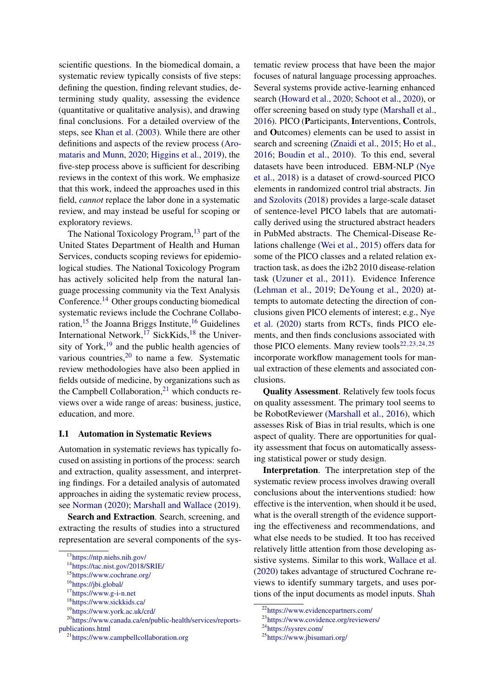scientific questions. In the biomedical domain, a systematic review typically consists of five steps: defining the question, finding relevant studies, determining study quality, assessing the evidence (quantitative or qualitative analysis), and drawing final conclusions. For a detailed overview of the steps, see [Khan et al.](#page-10-1) [\(2003\)](#page-10-1). While there are other definitions and aspects of the review process [\(Aro](#page-8-13)[mataris and Munn,](#page-8-13) [2020;](#page-8-13) [Higgins et al.,](#page-9-19) [2019\)](#page-9-19), the five-step process above is sufficient for describing reviews in the context of this work. We emphasize that this work, indeed the approaches used in this field, *cannot* replace the labor done in a systematic review, and may instead be useful for scoping or exploratory reviews.

The National Toxicology Program,<sup>[13](#page-18-0)</sup> part of the United States Department of Health and Human Services, conducts scoping reviews for epidemiological studies. The National Toxicology Program has actively solicited help from the natural language processing community via the Text Analysis Conference.[14](#page-18-1) Other groups conducting biomedical systematic reviews include the Cochrane Collaboration,  $15$  the Joanna Briggs Institute,  $16$  Guidelines International Network,<sup>[17](#page-18-4)</sup> SickKids,<sup>[18](#page-18-5)</sup> the University of York, $19$  and the public health agencies of various countries, $20$  to name a few. Systematic review methodologies have also been applied in fields outside of medicine, by organizations such as the Campbell Collaboration, $21$  which conducts reviews over a wide range of areas: business, justice, education, and more.

#### I.1 Automation in Systematic Reviews

Automation in systematic reviews has typically focused on assisting in portions of the process: search and extraction, quality assessment, and interpreting findings. For a detailed analysis of automated approaches in aiding the systematic review process, see [Norman](#page-11-18) [\(2020\)](#page-11-18); [Marshall and Wallace](#page-10-3) [\(2019\)](#page-10-3).

Search and Extraction. Search, screening, and extracting the results of studies into a structured representation are several components of the systematic review process that have been the major focuses of natural language processing approaches. Several systems provide active-learning enhanced search [\(Howard et al.,](#page-9-20) [2020;](#page-9-20) [Schoot et al.,](#page-11-13) [2020\)](#page-11-13), or offer screening based on study type [\(Marshall et al.,](#page-10-2) [2016\)](#page-10-2). PICO (Participants, Interventions, Controls, and Outcomes) elements can be used to assist in search and screening [\(Znaidi et al.,](#page-12-8) [2015;](#page-12-8) [Ho et al.,](#page-9-14) [2016;](#page-9-14) [Boudin et al.,](#page-8-12) [2010\)](#page-8-12). To this end, several datasets have been introduced. EBM-NLP [\(Nye](#page-11-3) [et al.,](#page-11-3) [2018\)](#page-11-3) is a dataset of crowd-sourced PICO elements in randomized control trial abstracts. [Jin](#page-10-21) [and Szolovits](#page-10-21) [\(2018\)](#page-10-21) provides a large-scale dataset of sentence-level PICO labels that are automatically derived using the structured abstract headers in PubMed abstracts. The Chemical-Disease Relations challenge [\(Wei et al.,](#page-12-9) [2015\)](#page-12-9) offers data for some of the PICO classes and a related relation extraction task, as does the i2b2 2010 disease-relation task [\(Uzuner et al.,](#page-11-19) [2011\)](#page-11-19). Evidence Inference [\(Lehman et al.,](#page-10-16) [2019;](#page-10-16) [DeYoung et al.,](#page-9-1) [2020\)](#page-9-1) attempts to automate detecting the direction of conclusions given PICO elements of interest; e.g., [Nye](#page-11-5) [et al.](#page-11-5) [\(2020\)](#page-11-5) starts from RCTs, finds PICO elements, and then finds conclusions associated with those PICO elements. Many review tools<sup>[22](#page-18-9),[23](#page-18-10),[24](#page-18-11),[25](#page-18-12)</sup> incorporate workflow management tools for manual extraction of these elements and associated conclusions.

Quality Assessment. Relatively few tools focus on quality assessment. The primary tool seems to be RobotReviewer [\(Marshall et al.,](#page-10-2) [2016\)](#page-10-2), which assesses Risk of Bias in trial results, which is one aspect of quality. There are opportunities for quality assessment that focus on automatically assessing statistical power or study design.

Interpretation. The interpretation step of the systematic review process involves drawing overall conclusions about the interventions studied: how effective is the intervention, when should it be used, what is the overall strength of the evidence supporting the effectiveness and recommendations, and what else needs to be studied. It too has received relatively little attention from those developing assistive systems. Similar to this work, [Wallace et al.](#page-12-1) [\(2020\)](#page-12-1) takes advantage of structured Cochrane reviews to identify summary targets, and uses portions of the input documents as model inputs. [Shah](#page-11-20)

<span id="page-18-0"></span><sup>13</sup><https://ntp.niehs.nih.gov/>

<span id="page-18-1"></span><sup>14</sup><https://tac.nist.gov/2018/SRIE/>

<span id="page-18-2"></span><sup>15</sup><https://www.cochrane.org/>

<span id="page-18-3"></span><sup>16</sup><https://jbi.global/>

<span id="page-18-4"></span><sup>17</sup><https://www.g-i-n.net>

<span id="page-18-5"></span><sup>18</sup><https://www.sickkids.ca/>

<span id="page-18-7"></span><span id="page-18-6"></span><sup>19</sup><https://www.york.ac.uk/crd/>

<sup>20</sup>[https://www.canada.ca/en/public-health/services/reports](https://www.canada.ca/en/public-health/services/reports-publications.html)[publications.html](https://www.canada.ca/en/public-health/services/reports-publications.html)

<span id="page-18-8"></span><sup>21</sup><https://www.campbellcollaboration.org>

<span id="page-18-9"></span><sup>22</sup>[https://www.evidencepartners.com/](#page-11-20)

<span id="page-18-10"></span><sup>23</sup>[https://www.covidence.org/reviewers/](#page-11-20)

<span id="page-18-11"></span><sup>24</sup>[https://sysrev.com/](#page-11-20)

<span id="page-18-12"></span><sup>25</sup>[https://www.jbisumari.org/](#page-11-20)